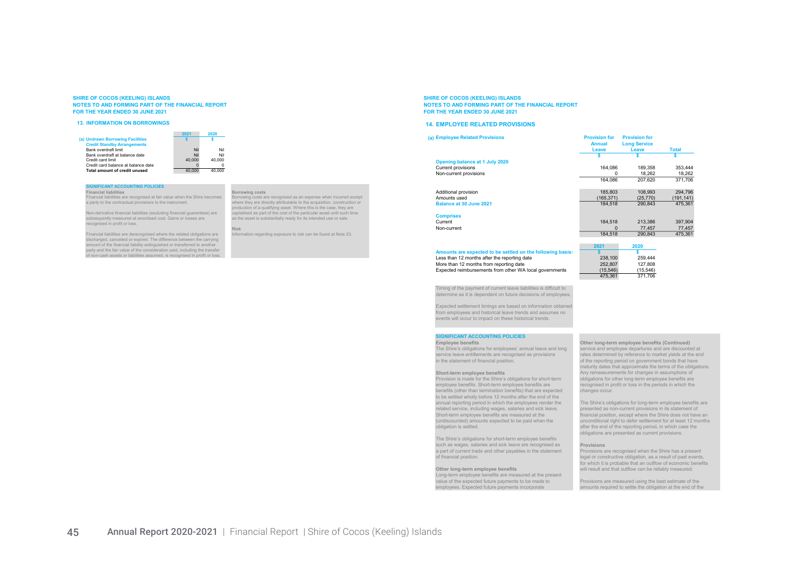#### 13. INFORMATION ON BORROWINGS

(a) Undrawn Borrowing Facilities Credit Standby Arrange Credit card limit



## **SIGNIFICANT ACCOUNTING POLICIES**<br>Financial liabilities

Total amount of credit unused

Financial liabilities Borrowing costs Financial liabilities are recognised at fair value when the Shire becomes Borrowing costs are recognised as an expense when incurred except

Non-derivative financial liabilities (excluding financial guarantees) are capitalised as part of the cost of the particular asset until such such the cost of the particular asset until such time and such times are all the subsequently measured at amortised cost. Gains or losses are recognised in profit or loss.

Financial liabilities are derecognised where the related obligations are discharged, cancelled or expired. The difference between the carrying amount of the financial liability extinguished or transferred to another party and the fair value of the consideration paid, including the transfer of non-cash assets or liabilities assumed, is recognised in profit or loss.

a party to the contractual provisions to the instrument. where they are directly attributable to the acquisition, construction or production of a qualifying asset. Where this is the case, they are

Information regarding exposure to risk can be found at Note 23.

#### SHIRE OF COCOS (KEELING) ISLANDS NOTES TO AND FORMING PART OF THE FINANCIAL REPORT FOR THE YEAR ENDED 30 JUNE 2021

#### 14. EMPLOYEE RELATED PROVISIONS

| (a) Employee Related Provisions                            | <b>Provision for</b><br><b>Annual</b> | <b>Provision for</b><br><b>Long Service</b> |              |
|------------------------------------------------------------|---------------------------------------|---------------------------------------------|--------------|
|                                                            | Leave                                 | Leave                                       | <b>Total</b> |
|                                                            |                                       |                                             |              |
| Opening balance at 1 July 2020                             |                                       |                                             |              |
| Current provisions                                         | 164,086                               | 189,358                                     | 353,444      |
| Non-current provisions                                     | O                                     | 18.262                                      | 18,262       |
|                                                            | 164.086                               | 207.620                                     | 371.706      |
| Additional provision                                       | 185.803                               | 108.993                                     | 294,796      |
| Amounts used                                               | (165,371)                             | (25, 770)                                   | (191, 141)   |
| Balance at 30 June 2021                                    | 184.518                               | 290.843                                     | 475,361      |
| <b>Comprises</b>                                           |                                       |                                             |              |
| Current                                                    | 184,518                               | 213,386                                     | 397,904      |
| Non-current                                                | $\Omega$                              | 77.457                                      | 77,457       |
|                                                            | 184.518                               | 290.843                                     | 475,361      |
|                                                            | 2021                                  | 2020                                        |              |
| Amounts are expected to be settled on the following basis: |                                       |                                             |              |
| Less than 12 months after the reporting date               | 238,100                               | 259,444                                     |              |
| More than 12 months from reporting date                    | 252,807                               | 127,808                                     |              |
| Expected reimbursements from other WA local governments    | (15, 546)                             | (15, 546)                                   |              |
|                                                            | 475.361                               | 371.706                                     |              |

Timing of the payment of current leave liabilities is difficult to determine as it is dependent on future decisions of employees.

Expected settlement timings are based on information obtained from employees and historical leave trends and assumes no events will occur to impact on these historical trends.

## **SIGNIFICANT ACCOUNTING POLICIES**<br>Employee benefits

Provision is made for the Shire's obligations for short-term obligations for other long-term employee benefits are<br>
employee benefits. Short-term employee benefits are recognised in profit or loss in the periods in which t employee benefits. Short-term employee benefits are recognised in profite in profit or loss in the periods in p<br>benefits of other than termination benefits it hat are expected changes occur. benefits (other than termination benefits) that are expected to be settled wholly before 12 months after the end of the annual reporting period in which the employees render the Short-term employee benefits are measured at the financial position, expected to be naid when the

The Shire's obligations for short-term employee benefits such as wages, salaries and sick leave are recognised as **Provisions**<br>a part of current trade and other payables in the statement Provisions are recognised when the Shire has a present a part of current trade and other payables in the statement<br>of financial position

Long-term employee benefits are measured at the present

Employee benefits Other long-term employee benefits (Continued) The Shire's obligations for employees' annual leave and long service and employee departures and are discounted at<br>service leave entitlements are recognised as provisions rates determined by reference to market yields at t service leave entitlements are recognised as provisions rates determined by reference to market yields at the end<br>in the statement of financial position. The end of the reporting period on government bonds that have in the statement of the statement of the reporting period on government bonds that have maturity dates that approximate the terms of the obligations. Short-term employee benefits <br>Provision is made for the Shire's obligations for short-term obligations for other long-term employee benefits are

The Shire's obligations for long-term employee benefits are<br>presented as non-current provisions in its statement of related service, including wages, salaries and sick leave. presented as non-current provisions in its statement of<br>Short-term employee benefits are measured at the statement of financial position, except where the Shire do (undiscounted) amounts expected to be paid when the unconditional right to defer settlement for at least 12 months after the end of the reporting period, in which case the obligations are presented as current provisions.

 $I$  final or constructive obligation, as a result of past events for which it is probable that an outflow of economic benefits Other long-term employee benefits will result and that outflow can be reliably measured.

value of the expected future payments to be made to<br>
employees. Expected future payments incorporate<br>
employees. Expected future payments incorporate<br>
amounts required to settle the obligation at the end of the amounts required to settle the obligation at the end of the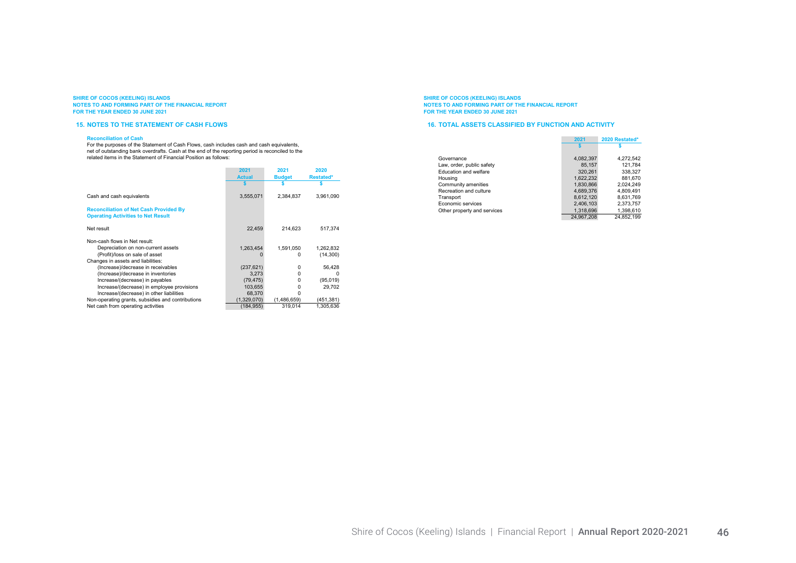#### 15. NOTES TO THE STATEMENT OF CASH FLOWS

#### Reconciliation of Cash

For the purposes of the Statement of Cash Flows, cash includes cash and cash equivalents, net of outstanding bank overdrafts. Cash at the end of the reporting period is reconciled to the related items in the Statement of Financial Position as follows:

|                                                                                                                                                                                                       | 2021<br><b>Actual</b>                                                | 2021<br><b>Budget</b>  | 2020<br><b>Restated*</b>                     |
|-------------------------------------------------------------------------------------------------------------------------------------------------------------------------------------------------------|----------------------------------------------------------------------|------------------------|----------------------------------------------|
| Cash and cash equivalents                                                                                                                                                                             | 3,555,071                                                            | 2.384.837              | 3.961.090                                    |
| <b>Reconciliation of Net Cash Provided By</b><br><b>Operating Activities to Net Result</b>                                                                                                            |                                                                      |                        |                                              |
| Net result                                                                                                                                                                                            | 22.459                                                               | 214.623                | 517.374                                      |
| Non-cash flows in Net result:<br>Depreciation on non-current assets<br>(Profit)/loss on sale of asset<br>Changes in assets and liabilities:                                                           | 1.263.454                                                            | 1.591.050<br>0         | 1.262.832<br>(14,300)                        |
| (Increase)/decrease in receivables<br>(Increase)/decrease in inventories<br>Increase/(decrease) in payables<br>Increase/(decrease) in employee provisions<br>Increase/(decrease) in other liabilities | (237, 621)<br>3.273<br>(79, 475)<br>103.655<br>68,370<br>(1,329,070) | 0<br>0<br>0<br>0<br>ŋ  | 56,428<br><sup>0</sup><br>(95,019)<br>29,702 |
| Non-operating grants, subsidies and contributions<br>Net cash from operating activities                                                                                                               | (184, 955)                                                           | (1,486,659)<br>319.014 | (451, 381)<br>1.305.636                      |

SHIRE OF COCOS (KEELING) ISLANDS NOTES TO AND FORMING PART OF THE FINANCIAL REPORT FOR THE YEAR ENDED 30 JUNE 2021

#### 16. TOTAL ASSETS CLASSIFIED BY FUNCTION AND ACTIVITY

|                             | 2021       | 2020 Restated* |
|-----------------------------|------------|----------------|
|                             |            |                |
| Governance                  | 4,082,397  | 4,272,542      |
| Law, order, public safety   | 85.157     | 121.784        |
| Education and welfare       | 320.261    | 338.327        |
| Housing                     | 1.622.232  | 881.670        |
| Community amenities         | 1.830.866  | 2.024.249      |
| Recreation and culture      | 4,689,376  | 4.809.491      |
| Transport                   | 8.612.120  | 8.631.769      |
| Economic services           | 2.406.103  | 2.373.757      |
| Other property and services | 1,318,696  | 1,398,610      |
|                             | 24.967.208 | 24.852.199     |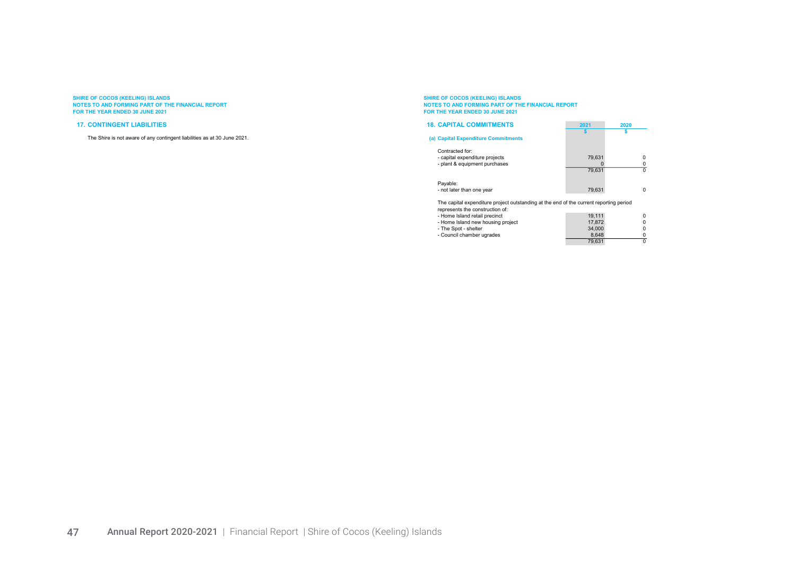#### 17. CONTINGENT LIABILITIES

The Shire is not aware of any contingent liabilities as at 30 June 2021.

# SHIRE OF COCOS (KEELING) ISLANDS<br>NOTES TO AND FORMING PART OF THE FINANCIAL REPORT<br>FOR THE YEAR ENDED 30 JUNE 2021

| <b>18. CAPITAL COMMITMENTS</b>                                                                                            | 2021   | 2020     |
|---------------------------------------------------------------------------------------------------------------------------|--------|----------|
| (a) Capital Expenditure Commitments                                                                                       |        |          |
| Contracted for:                                                                                                           |        |          |
| - capital expenditure projects                                                                                            | 79.631 |          |
| - plant & equipment purchases                                                                                             |        |          |
|                                                                                                                           | 79.631 | $\Omega$ |
| Payable:                                                                                                                  |        |          |
| - not later than one year                                                                                                 | 79.631 | n        |
| The capital expenditure project outstanding at the end of the current reporting period<br>represents the construction of: |        |          |
| - Home Island retail precinct                                                                                             | 19.111 |          |
| - Home Island new housing project                                                                                         | 17.872 |          |
| - The Spot - shelter                                                                                                      | 34,000 |          |
| - Council chamber ugrades                                                                                                 | 8,648  |          |
|                                                                                                                           | 79.631 |          |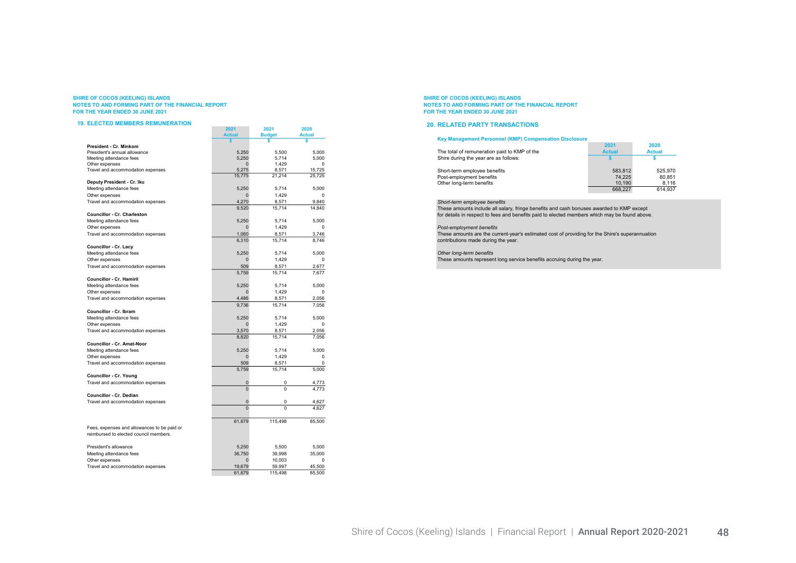#### 19. ELECTED MEMBERS REMUNERATION

| <b>ELECTED MEMBERS REMUNERATION</b>         |                |               |               |
|---------------------------------------------|----------------|---------------|---------------|
|                                             | 2021           | 2021          | 2020          |
|                                             | <b>Actual</b>  | <b>Budget</b> | <b>Actual</b> |
| President - Cr. Minkom                      |                | \$            | \$            |
| President's annual allowance                | 5,250          | 5.500         | 5.000         |
| Meeting attendance fees                     | 5.250          | 5.714         | 5.000         |
| Other expenses                              | $\Omega$       | 1.429         | 0             |
| Travel and accommodation expenses           | 5,275          | 8,571         | 15,725        |
|                                             | 15,775         | 21,214        | 25,725        |
| Deputy President - Cr. Iku                  |                |               |               |
| Meeting attendance fees                     | 5.250          | 5,714         | 5.000         |
| Other expenses                              | 0              | 1.429         | 0             |
| Travel and accommodation expenses           | 4,270          | 8,571         | 9,840         |
|                                             | 9,520          | 15,714        | 14,840        |
| <b>Councillor - Cr. Charleston</b>          |                |               |               |
| Meeting attendance fees                     | 5,250          | 5,714         | 5,000         |
| Other expenses                              | $\overline{0}$ | 1,429         | 0             |
| Travel and accommodation expenses           | 1,060          | 8,571         | 3.746         |
|                                             | 6,310          | 15,714        | 8,746         |
| Councillor - Cr. Lacy                       |                |               |               |
| Meeting attendance fees                     | 5.250          | 5.714         | 5.000         |
| Other expenses                              | 0              | 1,429         | $\Omega$      |
| Travel and accommodation expenses           | 509            | 8,571         | 2,677         |
|                                             | 5,759          | 15,714        | 7.677         |
| <b>Councillor - Cr. Hamiril</b>             |                |               |               |
| Meeting attendance fees                     | 5,250          | 5,714         | 5.000         |
| Other expenses                              | $\overline{0}$ | 1,429         | $\Omega$      |
| Travel and accommodation expenses           | 4.486          | 8,571         | 2.056         |
|                                             | 9,736          | 15,714        | 7,056         |
| <b>Councillor - Cr. Ibram</b>               |                |               |               |
| Meeting attendance fees                     | 5.250          | 5,714         | 5.000         |
| Other expenses                              | $\overline{0}$ | 1,429         | $\Omega$      |
| Travel and accommodation expenses           | 3,570          | 8,571         | 2,056         |
|                                             | 8,820          | 15.714        | 7,056         |
| Councillor - Cr. Amat-Noor                  |                |               |               |
| Meeting attendance fees                     | 5,250          | 5,714         | 5,000         |
| Other expenses                              | $\Omega$       | 1,429         | $\Omega$      |
| Travel and accommodation expenses           | 509            | 8,571         | 0             |
|                                             | 5,759          | 15,714        | 5,000         |
| Councillor - Cr. Young                      |                |               |               |
| Travel and accommodation expenses           | 0              | 0             | 4,773         |
|                                             | $\mathbf{0}$   | $\Omega$      | 4.773         |
| Councillor - Cr. Dedian                     |                |               |               |
| Travel and accommodation expenses           | 0              | 0             | 4,627         |
|                                             | $\Omega$       | $\Omega$      | 4.627         |
|                                             |                |               |               |
|                                             | 61,679         | 115,498       | 85.500        |
| Fees, expenses and allowances to be paid or |                |               |               |
| reimbursed to elected council members.      |                |               |               |
|                                             |                |               |               |
| President's allowance                       | 5.250          | 5.500         | 5.000         |
| Meeting attendance fees                     | 36,750         | 39,998        | 35,000        |
| Other expenses                              | $\Omega$       | 10,003        | $\Omega$      |
| Travel and accommodation expenses           | 19,679         | 59,997        | 45,500        |
|                                             | 61,679         | 115,498       | 85,500        |
|                                             |                |               |               |

#### SHIRE OF COCOS (KEELING) ISLANDS NOTES TO AND FORMING PART OF THE FINANCIAL REPORT FOR THE YEAR ENDED 30 JUNE 2021

#### 20. RELATED PARTY TRANSACTIONS

| Kev Management Personnel (KMP) Compensation Disclosure |               |               |
|--------------------------------------------------------|---------------|---------------|
|                                                        | 2021          | 2020          |
| The total of remuneration paid to KMP of the           | <b>Actual</b> | <b>Actual</b> |
| Shire during the year are as follows:                  |               |               |
| Short-term employee benefits                           | 583.812       | 525.970       |
| Post-employment benefits                               | 74.225        | 80.851        |
| Other long-term benefits                               | 10.190        | 8.116         |
|                                                        | 668.227       | 614.937       |

#### Short-term employee benefits

These amounts include all salary, fringe benefits and cash bonuses awarded to KMP except for details in respect to fees and benefits paid to elected members which may be found above.

#### Post-employment benefits

These amounts are the current-year's estimated cost of providing for the Shire's superannuation contributions made during the year.

#### Other long-term benefits

These amounts represent long service benefits accruing during the year.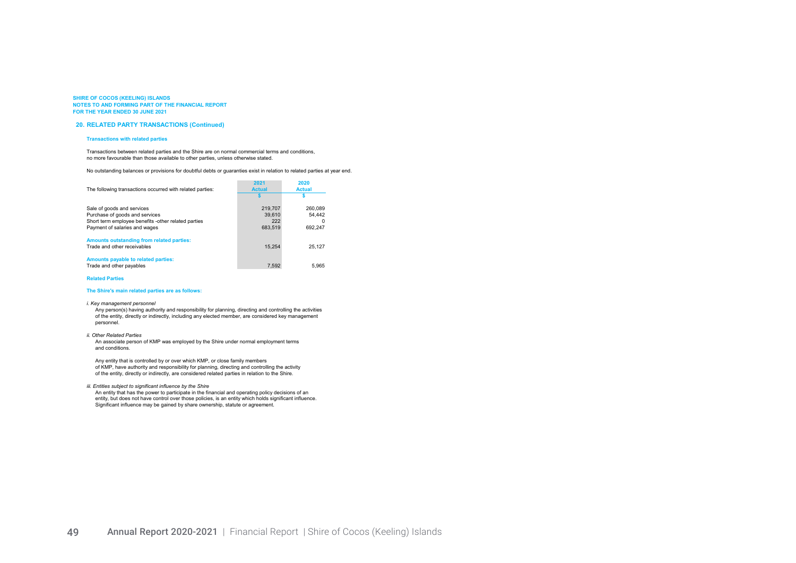#### 20. RELATED PARTY TRANSACTIONS (Continued)

#### Transactions with related parties

Transactions between related parties and the Shire are on normal commercial terms and conditions, no more favourable than those available to other parties, unless otherwise stated.

No outstanding balances or provisions for doubtful debts or guaranties exist in relation to related parties at year end.

| The following transactions occurred with related parties: | 2021<br><b>Actual</b> | 2020<br><b>Actual</b> |  |
|-----------------------------------------------------------|-----------------------|-----------------------|--|
|                                                           |                       |                       |  |
| Sale of goods and services                                | 219.707               | 260.089               |  |
| Purchase of goods and services                            | 39.610                | 54.442                |  |
| Short term employee benefits -other related parties       | 222                   | 0                     |  |
| Payment of salaries and wages                             | 683.519               | 692,247               |  |
| Amounts outstanding from related parties:                 |                       |                       |  |
| Trade and other receivables                               | 15.254                | 25.127                |  |
| Amounts payable to related parties:                       |                       |                       |  |
| Trade and other payables                                  | 7,592                 | 5.965                 |  |

#### Related Parties

#### The Shire's main related parties are as follows:

#### i. Key management personnel

Any person(s) having authority and responsibility for planning, directing and controlling the activities of the entity, directly or indirectly, including any elected member, are considered key management personnel.

#### ii. Other Related Parties

An associate person of KMP was employed by the Shire under normal employment terms and conditions.

Any entity that is controlled by or over which KMP, or close family members of KMP, have authority and responsibility for planning, directing and controlling the activity of the entity, directly or indirectly, are considered related parties in relation to the Shire.

#### iii. Entities subject to significant influence by the Shire

An entity that has the power to participate in the financial and operating policy decisions of an entity, but does not have control over those policies, is an entity which holds significant influence. Significant influence may be gained by share ownership, statute or agreement.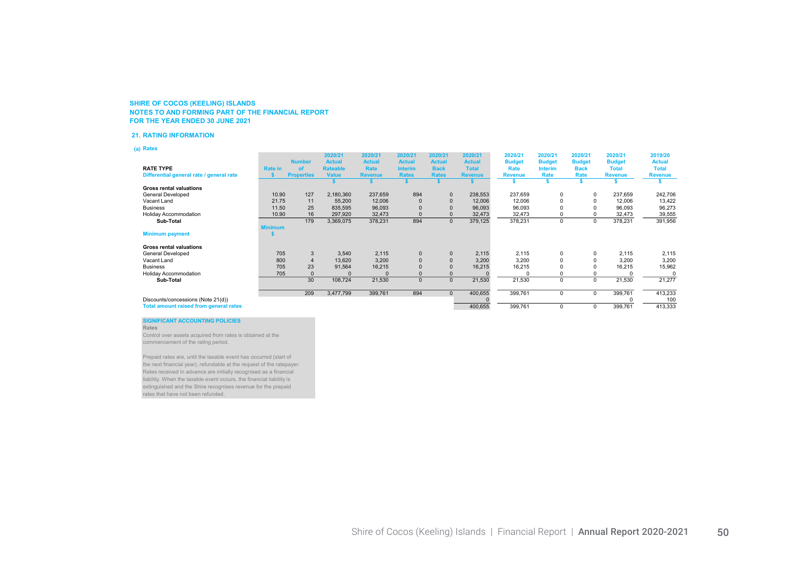#### 21. RATING INFORMATION

(a) Rates

|                                               |                |                   | 2020/21         | 2020/21        | 2020/21        | 2020/21       | 2020/21        | 2020/21        | 2020/21        | 2020/21       | 2020/21        | 2019/20        |
|-----------------------------------------------|----------------|-------------------|-----------------|----------------|----------------|---------------|----------------|----------------|----------------|---------------|----------------|----------------|
|                                               |                | <b>Number</b>     | <b>Actual</b>   | <b>Actual</b>  | <b>Actual</b>  | <b>Actual</b> | <b>Actual</b>  | <b>Budget</b>  | <b>Budget</b>  | <b>Budget</b> | <b>Budget</b>  | <b>Actual</b>  |
| <b>RATE TYPE</b>                              | <b>Rate in</b> | of                | <b>Rateable</b> | Rate           | <b>Interim</b> | <b>Back</b>   | <b>Total</b>   | Rate           | <b>Interim</b> | <b>Back</b>   | <b>Total</b>   | <b>Total</b>   |
| Differential general rate / general rate      |                | <b>Properties</b> | <b>Value</b>    | <b>Revenue</b> | <b>Rates</b>   | <b>Rates</b>  | <b>Revenue</b> | <b>Revenue</b> | Rate           | Rate          | <b>Revenue</b> | <b>Revenue</b> |
|                                               |                |                   |                 |                |                |               |                |                |                |               |                |                |
| <b>Gross rental valuations</b>                |                |                   |                 |                |                |               |                |                |                |               |                |                |
| General Developed                             | 10.90          | 127               | 2,180,360       | 237,659        | 894            | $\mathbf 0$   | 238,553        | 237,659        | 0              | $\Omega$      | 237,659        | 242,706        |
| Vacant Land                                   | 21.75          | 11                | 55,200          | 12,006         |                |               | 12,006         | 12,006         |                |               | 12,006         | 13,422         |
| <b>Business</b>                               | 11.50          | 25                | 835,595         | 96,093         |                |               | 96,093         | 96,093         |                |               | 96,093         | 96,273         |
| <b>Holiday Accommodation</b>                  | 10.90          | 16                | 297,920         | 32,473         |                |               | 32,473         | 32,473         |                |               | 32,473         | 39,555         |
| Sub-Total                                     |                | 179               | 3,369,075       | 378,231        | 894            | $\mathbf 0$   | 379,125        | 378,231        | 0              | $\Omega$      | 378,231        | 391,956        |
|                                               | <b>Minimum</b> |                   |                 |                |                |               |                |                |                |               |                |                |
| <b>Minimum payment</b>                        |                |                   |                 |                |                |               |                |                |                |               |                |                |
| <b>Gross rental valuations</b>                |                |                   |                 |                |                |               |                |                |                |               |                |                |
| General Developed                             | 705            | 3                 | 3.540           | 2,115          | $\mathbf{0}$   | $\Omega$      | 2,115          | 2,115          | 0              | $\Omega$      | 2,115          | 2,115          |
| Vacant Land                                   | 800            |                   | 13,620          | 3,200          | $\Omega$       |               | 3,200          | 3,200          |                |               | 3,200          | 3,200          |
| <b>Business</b>                               | 705            | 23                | 91,564          | 16,215         |                |               | 16,215         | 16,215         |                |               | 16,215         | 15,962         |
| <b>Holiday Accommodation</b>                  | 705            |                   |                 | $\Omega$       |                |               |                |                |                |               |                | C              |
| Sub-Total                                     |                | 30                | 108,724         | 21,530         | $\mathbf{0}$   |               | 21,530         | 21,530         | 0              | $\Omega$      | 21,530         | 21,277         |
|                                               |                | 209               | 3,477,799       | 399,761        | 894            | $\mathbf{0}$  | 400,655        | 399,761        | 0              | 0             | 399,761        | 413,233        |
| Discounts/concessions (Note 21(d))            |                |                   |                 |                |                |               |                |                |                |               |                | 100            |
| <b>Total amount raised from general rates</b> |                |                   |                 |                |                |               | 400,655        | 399,761        | 0              | $\Omega$      | 399,761        | 413,333        |

### SIGNIFICANT ACCOUNTING POLICIES

Rates

Control over assets acquired from rates is obtained at the commencement of the rating period.

Prepaid rates are, until the taxable event has occurred (start of the next financial year), refundable at the request of the ratepayer. Rates received in advance are initially recognised as a financial liability. When the taxable event occurs, the financial liability is extinguished and the Shire recognises revenue for the prepaid rates that have not been refunded.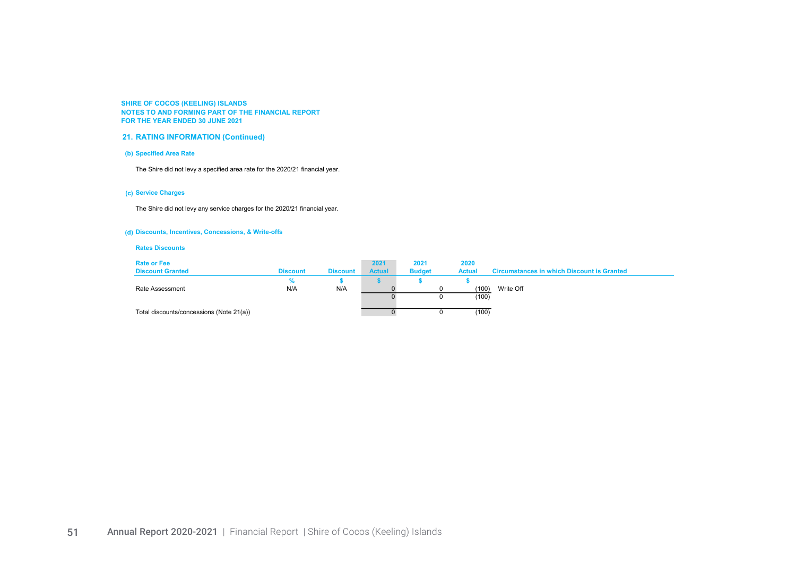## 21. RATING INFORMATION (Continued)

## (b) Specified Area Rate

The Shire did not levy a specified area rate for the 2020/21 financial year.

## (c) Service Charges

The Shire did not levy any service charges for the 2020/21 financial year.

## (d) Discounts, Incentives, Concessions, & Write-offs

### Rates Discounts

| <b>Rate or Fee</b><br><b>Discount Granted</b> | <b>Discount</b> | <b>Discount</b> | 2021<br><b>Actual</b> | 2021<br><b>Budget</b> | 2020<br><b>Actual</b> | <b>Circumstances in which Discount is Granted</b> |
|-----------------------------------------------|-----------------|-----------------|-----------------------|-----------------------|-----------------------|---------------------------------------------------|
| Rate Assessment                               | N/A             | N/A             |                       |                       | (100)<br>(100)        | Write Off                                         |
| Total discounts/concessions (Note 21(a))      |                 |                 |                       |                       | (100)                 |                                                   |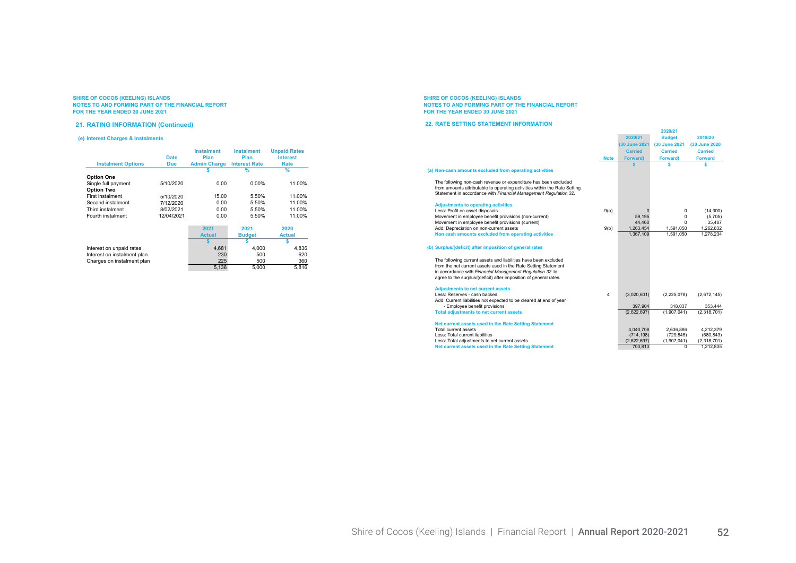#### 21. RATING INFORMATION (Continued)

#### (e) Interest Charges & Instalments

| <b>Instalment Options</b> | <b>Date</b><br><b>Due</b> | <b>Instalment</b><br>Plan<br><b>Admin Charge</b> | <b>Instalment</b><br>Plan<br><b>Interest Rate</b> | <b>Unpaid Rates</b><br><b>Interest</b><br>Rate |
|---------------------------|---------------------------|--------------------------------------------------|---------------------------------------------------|------------------------------------------------|
|                           |                           |                                                  | $\frac{9}{6}$                                     | $\%$                                           |
| <b>Option One</b>         |                           |                                                  |                                                   |                                                |
| Single full payment       | 5/10/2020                 | 0.00                                             | $0.00\%$                                          | 11.00%                                         |
| <b>Option Two</b>         |                           |                                                  |                                                   |                                                |
| <b>First instalment</b>   | 5/10/2020                 | 15.00                                            | 5.50%                                             | 11.00%                                         |
| Second instalment         | 7/12/2020                 | 0.00                                             | 5.50%                                             | 11.00%                                         |
| Third instalment          | 8/02/2021                 | 0.00                                             | 5.50%                                             | 11.00%                                         |
| Fourth instalment         | 12/04/2021                | 0.00                                             | 5.50%                                             | 11.00%                                         |

|                             | 2021          | 2021          | 2020          |
|-----------------------------|---------------|---------------|---------------|
|                             | <b>Actual</b> | <b>Budget</b> | <b>Actual</b> |
|                             |               |               |               |
| Interest on unpaid rates    | 4.681         | 4.000         | 4.836         |
| Interest on instalment plan | 230           | 500           | 620           |
| Charges on instalment plan  | 225           | 500           | 360           |
|                             | 5.136         | 5.000         | 5.816         |

# SHIRE OF COCOS (KEELING) ISLANDS<br>NOTES TO AND FORMING PART OF THE FINANCIAL REPORT<br>FOR THE YEAR ENDED 30 JUNE 2021

#### 22. RATE SETTING STATEMENT INFORMATION

|                                                                           |                         | 2020/21         | <b>Budget</b>           | 2019/20        |
|---------------------------------------------------------------------------|-------------------------|-----------------|-------------------------|----------------|
|                                                                           |                         | (30 June 2021   | (30 June 2021           | (30 June 2020  |
|                                                                           |                         | <b>Carried</b>  | <b>Carried</b>          | <b>Carried</b> |
|                                                                           | <b>Note</b>             | <b>Forward)</b> | Forward)                | <b>Forward</b> |
|                                                                           |                         | s               | Ś                       | s              |
| (a) Non-cash amounts excluded from operating activities                   |                         |                 |                         |                |
|                                                                           |                         |                 |                         |                |
| The following non-cash revenue or expenditure has been excluded           |                         |                 |                         |                |
| from amounts attributable to operating activities within the Rate Setting |                         |                 |                         |                |
| Statement in accordance with Financial Management Regulation 32.          |                         |                 |                         |                |
|                                                                           |                         |                 |                         |                |
| <b>Adjustments to operating activities</b>                                |                         |                 |                         |                |
| Less: Profit on asset disposals                                           | 9(a)                    | $\Omega$        | 0                       | (14, 300)      |
| Movement in employee benefit provisions (non-current)                     |                         | 59.195          | 0                       | (5,705)        |
| Movement in employee benefit provisions (current)                         |                         | 44.460          | $\Omega$                | 35,407         |
| Add: Depreciation on non-current assets                                   | 9(b)                    | 1,263,454       | 1,591,050               | 1,262,832      |
| Non cash amounts excluded from operating activities                       |                         | 1.367.109       | 1.591.050               | 1,278,234      |
|                                                                           |                         |                 |                         |                |
| (b) Surplus/(deficit) after imposition of general rates                   |                         |                 |                         |                |
| The following current assets and liabilities have been excluded           |                         |                 |                         |                |
| from the net current assets used in the Rate Setting Statement            |                         |                 |                         |                |
| in accordance with Financial Management Regulation 32 to                  |                         |                 |                         |                |
| agree to the surplus/(deficit) after imposition of general rates.         |                         |                 |                         |                |
|                                                                           |                         |                 |                         |                |
| <b>Adjustments to net current assets</b>                                  |                         |                 |                         |                |
| Less: Reserves - cash backed                                              | $\overline{\mathbf{4}}$ | (3,020,601)     | (2, 225, 078)           | (2,672,145)    |
| Add: Current liabilities not expected to be cleared at end of year        |                         |                 |                         |                |
| - Employee benefit provisions                                             |                         | 397.904         | 318.037                 | 353.444        |
| <b>Total adjustments to net current assets</b>                            |                         | (2,622,697)     | (1.907.041)             | (2.318.701)    |
|                                                                           |                         |                 |                         |                |
| Net current assets used in the Rate Setting Statement                     |                         |                 |                         |                |
| Total current assets                                                      |                         | 4,040,708       | 2,636,886               | 4,212,379      |
| Less: Total current liabilities                                           |                         | (714, 198)      | (729.845)               | (680, 843)     |
| Less: Total adjustments to net current assets                             |                         | (2,622,697)     | (1,907,041)<br>$\Omega$ | (2,318,701)    |
| Net current assets used in the Rate Setting Statement                     |                         | 703,813         |                         | 1,212,835      |

2020/21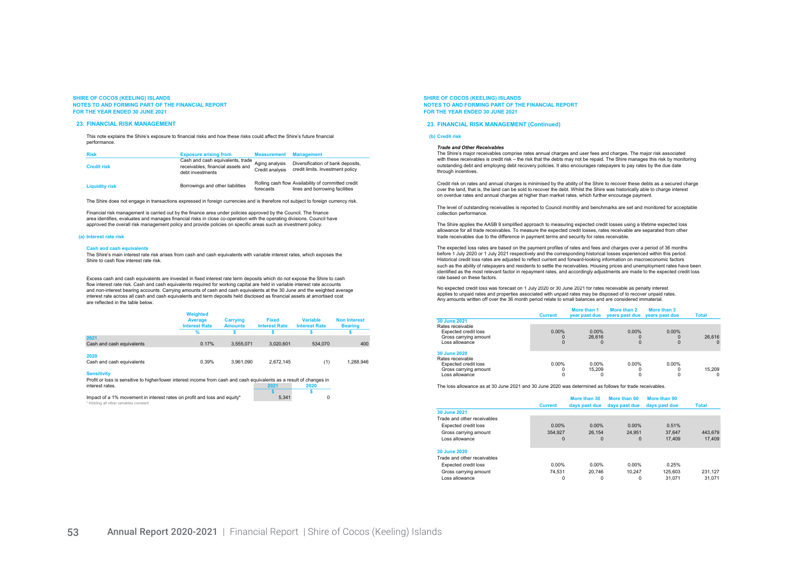#### 23. FINANCIAL RISK MANAGEMENT

This note explains the Shire's exposure to financial risks and how these risks could affect the Shire's future financial performance.

| <b>Risk</b>           | <b>Exposure arising from</b>                                                              | <b>Measurement</b>                | <b>Management</b>                                                                    |
|-----------------------|-------------------------------------------------------------------------------------------|-----------------------------------|--------------------------------------------------------------------------------------|
| <b>Credit risk</b>    | Cash and cash equivalents, trade<br>receivables, financial assets and<br>debt investments | Aging analysis<br>Credit analysis | Diversification of bank deposits.<br>credit limits. Investment policy                |
| <b>Liquidity risk</b> | Borrowings and other liabilities                                                          | forecasts                         | Rolling cash flow Availability of committed credit<br>lines and borrowing facilities |

The Shire does not engage in transactions expressed in foreign currencies and is therefore not subject to foreign currency risk.

Financial risk management is carried out by the finance area under policies approved by the Council. The finance area identifies, evaluates and manages financial risks in close co-operation with the operating divisions. Council have approved the overall risk management policy and provide policies on specific areas such as investment policy.

#### (a) Interest rate risk

#### Cash and cash equivalents

The Shire's main interest rate risk arises from cash and cash equivalents with variable interest rates, which exposes the Shire to cash flow interest rate risk.

Excess cash and cash equivalents are invested in fixed interest rate term deposits which do not expose the Shire to cash flow interest rate risk. Cash and cash equivalents required for working capital are held in variable interest rate accounts and non-interest bearing accounts. Carrying amounts of cash and cash equivalents at the 30 June and the weighted average interest rate across all cash and cash equivalents and term deposits held disclosed as financial assets at amortised cost are reflected in the table below.

|                                   | Weighted<br>Average<br><b>Interest Rate</b> | Carrying<br><b>Amounts</b> | <b>Fixed</b><br><b>Interest Rate</b> | <b>Variable</b><br><b>Interest Rate</b> | <b>Non Interest</b><br><b>Bearing</b> |
|-----------------------------------|---------------------------------------------|----------------------------|--------------------------------------|-----------------------------------------|---------------------------------------|
|                                   |                                             |                            |                                      |                                         |                                       |
| 2021<br>Cash and cash equivalents | 0.17%                                       | 3.555.071                  | 3.020.601                            | 534,070                                 | 400                                   |
| 2020<br>Cash and cash equivalents | 0.39%                                       | 3.961.090                  | 2.672.145                            | (1)                                     | 1.288.946                             |

#### Sensitivity

Profit or loss is sensitive to higher/lower interest income from cash and cash equivalents as a result of changes in<br>12020 2021 interest rates. 2021 2020

 $\mathsf{s}$  s Impact of a 1% movement in interest rates on profit and loss and equity\* 5,341 0 ting all other variables constant

SHIRE OF COCOS (KEELING) ISLANDS NOTES TO AND FORMING PART OF THE FINANCIAL REPORT FOR THE YEAR ENDED 30 JUNE 2021

#### 23. FINANCIAL RISK MANAGEMENT (Continued)

#### (b) Credit risk

#### Trade and Other Receivables

The Shire's major receivables comprise rates annual charges and user fees and charges. The major risk associated with these receivables is credit risk – the risk that the debts may not be repaid. The Shire manages this risk by monitoring outstanding debt and employing debt recovery policies. It also encourages ratepayers to pay rates by the due date through incentives

Credit risk on rates and annual charges is minimised by the ability of the Shire to recover these debts as a secured charge over the land, that is, the land can be sold to recover the debt. Whilst the Shire was historically able to charge interest on overdue rates and annual charges at higher than market rates, which further encourage payment.

The level of outstanding receivables is reported to Council monthly and benchmarks are set and monitored for acceptable collection performance.

The Shire applies the AASB 9 simplified approach to measuring expected credit losses using a lifetime expected loss allowance for all trade receivables. To measure the expected credit losses, rates receivable are separated from other trade receivables due to the difference in payment terms and security for rates receivable.

The expected loss rates are based on the payment profiles of rates and fees and charges over a period of 36 months before 1 July 2020 or 1 July 2021 respectively and the corresponding historical losses experienced within this period. Historical credit loss rates are adjusted to reflect current and forward-looking information on macroeconomic factors such as the ability of ratepayers and residents to settle the receivables. Housing prices and unemployment rates have been identified as the most relevant factor in repayment rates, and accordingly adjustments are made to the expected credit loss rate based on these factors.

No expected credit loss was forecast on 1 July 2020 or 30 June 2021 for rates receivable as penalty interest applies to unpaid rates and properties associated with unpaid rates may be disposed of to recover unpaid rates. Any amounts written off over the 36 month period relate to small balances and are considered immaterial.

|                                  | <b>Current</b> | More than 1<br>year past due | More than 2<br>years past due years past due | More than 3 | <b>Total</b> |
|----------------------------------|----------------|------------------------------|----------------------------------------------|-------------|--------------|
| 30 June 2021                     |                |                              |                                              |             |              |
| Rates receivable                 |                |                              |                                              |             |              |
| <b>Expected credit loss</b>      | 0.00%          | $0.00\%$                     | $0.00\%$                                     | $0.00\%$    |              |
| Gross carrying amount            | $\Omega$       | 26,616                       | $\Omega$                                     |             | 26.616       |
| Loss allowance                   |                |                              |                                              |             |              |
| 30 June 2020<br>Rates receivable |                |                              |                                              |             |              |
| <b>Expected credit loss</b>      | $0.00\%$       | $0.00\%$                     | $0.00\%$                                     | $0.00\%$    |              |
| Gross carrying amount            | 0              | 15.209                       | $\Omega$                                     |             | 15.209       |
| Loss allowance                   |                |                              |                                              |             | 0            |

The loss allowance as at 30 June 2021 and 30 June 2020 was determined as follows for trade receivables.

|                             |                | More than 30  | More than 60  | More than 90  |              |
|-----------------------------|----------------|---------------|---------------|---------------|--------------|
|                             | <b>Current</b> | days past due | days past due | days past due | <b>Total</b> |
| 30 June 2021                |                |               |               |               |              |
| Trade and other receivables |                |               |               |               |              |
| <b>Expected credit loss</b> | $0.00\%$       | $0.00\%$      | $0.00\%$      | 0.51%         |              |
| Gross carrying amount       | 354.927        | 26.154        | 24.951        | 37.647        | 443.679      |
| Loss allowance              | $\mathbf{0}$   | $\mathbf 0$   | $\mathbf{0}$  | 17.409        | 17,409       |
| 30 June 2020                |                |               |               |               |              |
| Trade and other receivables |                |               |               |               |              |
| <b>Expected credit loss</b> | $0.00\%$       | $0.00\%$      | $0.00\%$      | 0.25%         |              |
| Gross carrying amount       | 74.531         | 20.746        | 10.247        | 125.603       | 231.127      |
| Loss allowance              | 0              | 0             | 0             | 31.071        | 31.071       |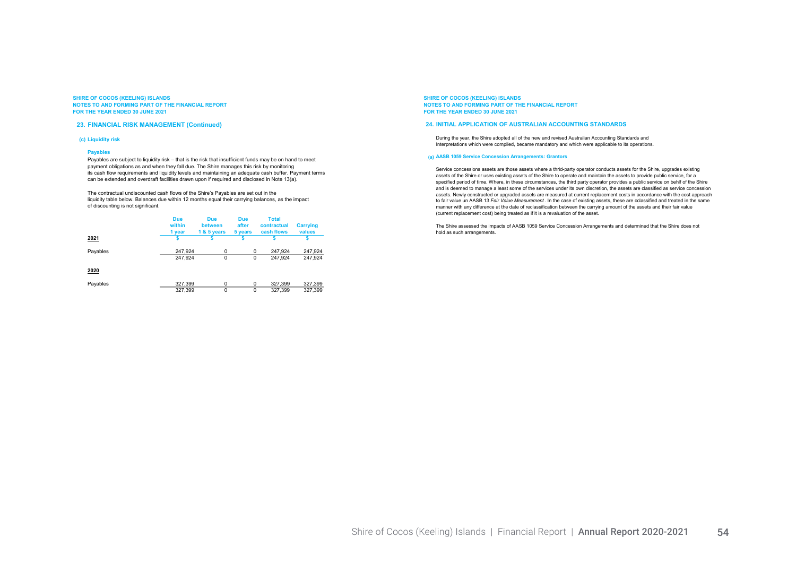#### 23. FINANCIAL RISK MANAGEMENT (Continued)

#### (c) Liquidity risk

#### Payables

Payables are subject to liquidity risk – that is the risk that insufficient funds may be on hand to meet payment obligations as and when they fall due. The Shire manages this risk by monitoring its cash flow requirements and liquidity levels and maintaining an adequate cash buffer. Payment terms can be extended and overdraft facilities drawn upon if required and disclosed in Note 13(a).

The contractual undiscounted cash flows of the Shire's Payables are set out in the Intertation with the below. Balances due within 12 months equal their carrying balances, as the impact of discounting is not significant.

|          | <b>Due</b><br>within<br>1 year | <b>Due</b><br>between<br>1 & 5 years | <b>Due</b><br>after<br>5 years | <b>Total</b><br>contractual<br>cash flows | <b>Carrying</b><br>values |
|----------|--------------------------------|--------------------------------------|--------------------------------|-------------------------------------------|---------------------------|
| 2021     |                                |                                      |                                |                                           |                           |
| Payables | 247.924<br>247.924             | $\mathbf 0$<br>$\Omega$              | $\Omega$<br>0                  | 247.924<br>247.924                        | 247,924<br>247.924        |
| 2020     |                                |                                      |                                |                                           |                           |
| Payables | 327,399                        | $\Omega$                             | $\Omega$                       | 327.399                                   | 327,399                   |
|          | 327.399                        | $\Omega$                             | 0                              | 327.399                                   | 327.399                   |

SHIRE OF COCOS (KEELING) ISLANDS NOTES TO AND FORMING PART OF THE FINANCIAL REPORT FOR THE YEAR ENDED 30 JUNE 2021

#### 24. INITIAL APPLICATION OF AUSTRALIAN ACCOUNTING STANDARDS

During the year, the Shire adopted all of the new and revised Australian Accounting Standards and Interpretations which were compiled, became mandatory and which were applicable to its operations.

#### (a) AASB 1059 Service Concession Arrangements: Grantors

Service concessions assets are those assets where a thrid-party operator conducts assets for the Shire, upgrades existing assets of the Shire or uses existing assets of the Shire to operate and maintain the assets to provide public service, for a specified period of time. Where, in these circumstances, the third party operator provides a public service on behlf of the Shire and is deemed to manage a least some of the services under its own discretion, the assets are classified as service concession assets. Newly constructed or upgraded assets are measured at current replacement costs in accordance with the cost approach to fair value un AASB 13 Fair Value Measurement. In the case of existing assets, these are cclassified and treated in the same manner with any difference at the date of reclassification between the carrying amount of the assets and their fair value (current replacement cost) being treated as if it is a revaluation of the asset.

The Shire assessed the impacts of AASB 1059 Service Concession Arrangements and determined that the Shire does not hold as such arrangements.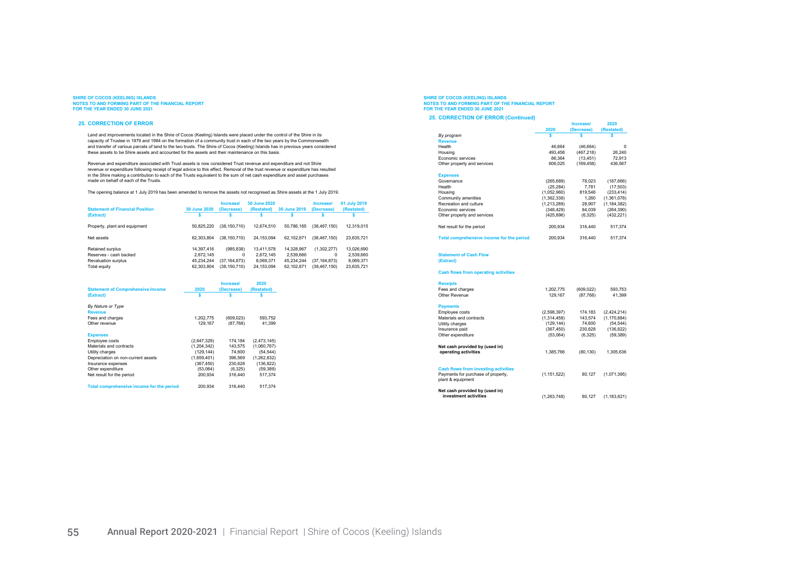#### 25. CORRECTION OF ERROR

Land and improvements located in the Shire of Cocos (Keeling) Islands were placed under the control of the Shire in its capacity of Trustee in 1979 and 1984 on the formation of a community trust in each of the two years by the Commonwealth<br>and transfer of various parcels of land to the two trusts. The Shire of Cocos (Keeling) Islands has in these assets to be Shire assets and accounted for the assets and their maintenance on this basis.

Revenue and expenditure associated with Trust assets is now considered Trust revenue and expenditure and not Shire revenue or expenditure following receipt of legal advice to this effect. Removal of the trust revenue or expenditure has resulted in the Shire making a contribution to each of the Trusts equivalent to the sum of net cash expenditure and asset purchases made on behalf of each of the Trusts.

The opening balance at 1 July 2019 has been amended to remove the assets not recognised as Shire assets at the 1 July 2019.

| <b>Statement of Financial Position</b> | <b>30 June 2020</b> | Increase/<br>(Decrease) | 30 June 2020<br>(Restated) | 30 June 2019 | Increase/<br>(Decrease) | 01 July 2019<br>(Restated) |
|----------------------------------------|---------------------|-------------------------|----------------------------|--------------|-------------------------|----------------------------|
| (Extract)                              |                     |                         |                            |              |                         |                            |
| Property, plant and equipment          | 50.825.220          | (38, 150, 710)          | 12.674.510                 | 50.786.165   | (38.467.150)            | 12,319,015                 |
| Net assets                             | 62.303.804          | (38, 150, 710)          | 24.153.094                 | 62.102.871   | (38.467.150)            | 23.635.721                 |
| Retained surplus                       | 14,397,416          | (985.838)               | 13,411,578                 | 14.328.967   | (1,302,277)             | 13,026,690                 |
| Reserves - cash backed                 | 2.672.145           | 0                       | 2.672.145                  | 2.539.660    | 0                       | 2,539,660                  |
| Revaluation surplus                    | 45.234.244          | (37, 164, 873)          | 8.069.371                  | 45.234.244   | (37, 164, 873)          | 8,069,371                  |
| Total equity                           | 62.303.804          | (38,150,710)            | 24,153,094                 | 62.102.871   | (38, 467, 150)          | 23,635,721                 |

| <b>Statement of Comprehensive Income</b>  | 2020        | <b>Increase/</b><br>(Decrease) | 2020<br>(Restated) |
|-------------------------------------------|-------------|--------------------------------|--------------------|
| (Extract)                                 |             |                                |                    |
| By Nature or Type                         |             |                                |                    |
| <b>Revenue</b>                            |             |                                |                    |
| Fees and charges                          | 1.202.775   | (609,023)                      | 593,752            |
| Other revenue                             | 129.167     | (87,768)                       | 41.399             |
| <b>Expenses</b>                           |             |                                |                    |
| Employee costs                            | (2,647,329) | 174.184                        | (2,473,145)        |
| Materials and contracts                   | (1.204.342) | 143.575                        | (1.060.767)        |
| Utility charges                           | (129, 144)  | 74.600                         | (54, 544)          |
| Depreciation on non-current assets        | (1,659,401) | 396,569                        | (1,262,832)        |
| Insurance expenses                        | (367, 450)  | 230,628                        | (136, 822)         |
| Other expenditure                         | (53.064)    | (6,325)                        | (59, 389)          |
| Net result for the period                 | 200.934     | 316,440                        | 517.374            |
| Total comprehensive income for the period | 200.934     | 316,440                        | 517.374            |

# SHIRE OF COCOS (KEELING) ISLANDS<br>NOTES TO AND FORMING PART OF THE FINANCIAL REPORT<br>FOR THE YEAR ENDED 30 JUNE 2021

#### 25. CORRECTION OF ERROR (Continued)

|                                                                                                        |               | Increase/  | 2020          |
|--------------------------------------------------------------------------------------------------------|---------------|------------|---------------|
|                                                                                                        | 2020          | (Decrease) | (Restated)    |
| By program                                                                                             | s             | Ś          | Ś             |
| <b>Revenue</b>                                                                                         |               |            |               |
| Health                                                                                                 | 46.664        | (46, 664)  | $\Omega$      |
| Housing                                                                                                | 493,458       | (467, 218) | 26,240        |
| Economic services                                                                                      | 86,364        | (13, 451)  | 72,913        |
| Other property and services                                                                            | 606,025       | (169, 458) | 436,567       |
| <b>Expenses</b>                                                                                        |               |            |               |
| Governance                                                                                             | (265, 689)    | 78,023     | (187, 666)    |
| Health                                                                                                 | (25, 284)     | 7,781      | (17, 503)     |
| Housing                                                                                                | (1,052,960)   | 819,546    | (233, 414)    |
| Community amenities                                                                                    | (1,362,338)   | 1,260      | (1,361,078)   |
| Recreation and culture                                                                                 | (1, 213, 289) | 28,907     | (1, 184, 382) |
| Economic services                                                                                      | (348, 429)    | 84.039     | (264, 390)    |
| Other property and services                                                                            | (425, 896)    | (6, 325)   | (432, 221)    |
| Net result for the period                                                                              | 200,934       | 316,440    | 517,374       |
| Total comprehensive income for the period                                                              | 200,934       | 316,440    | 517,374       |
| <b>Statement of Cash Flow</b><br>(Extract)<br><b>Cash flows from operating activities</b>              |               |            |               |
| <b>Receipts</b>                                                                                        |               |            |               |
| Fees and charges                                                                                       | 1,202,775     | (609, 022) | 593,753       |
| Other Revenue                                                                                          | 129.167       | (87,768)   | 41,399        |
| <b>Payments</b>                                                                                        |               |            |               |
| Employee costs                                                                                         | (2,598,397)   | 174,183    | (2,424,214)   |
| Materials and contracts                                                                                | (1,314,458)   | 143.574    | (1, 170, 884) |
| Utility charges                                                                                        | (129, 144)    | 74,600     | (54, 544)     |
| Insurance paid                                                                                         | (367, 450)    | 230.628    | (136, 822)    |
| Other expenditure                                                                                      | (53,064)      | (6, 325)   | (59, 389)     |
| Net cash provided by (used in)                                                                         |               |            |               |
| operating activities                                                                                   | 1,385,766     | (80, 130)  | 1,305,636     |
| <b>Cash flows from investing activities</b><br>Payments for purchase of property,<br>plant & equipment | (1, 151, 522) | 80,127     | (1,071,395)   |
| Net cash provided by (used in)<br>investment activities                                                | (1,263,748)   | 80,127     | (1, 183, 621) |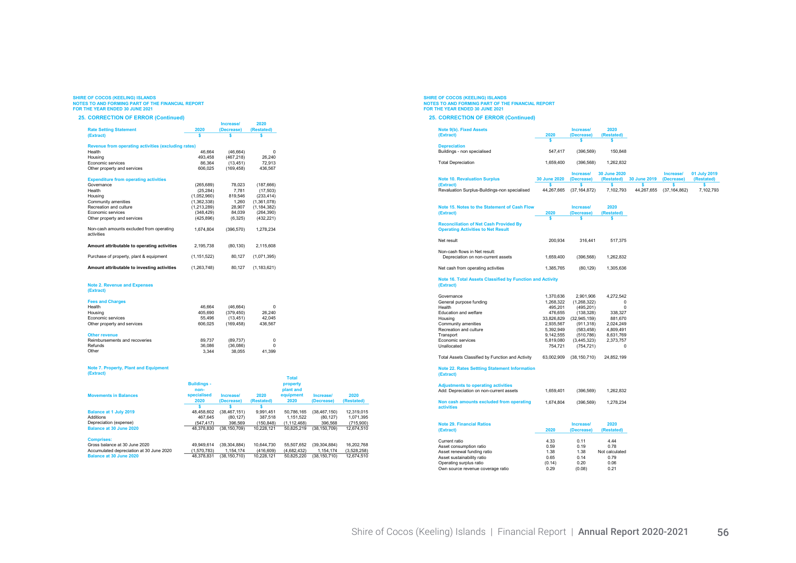#### 25. CORRECTION OF ERROR (Continued)

|                                                        |               | <b>Increase</b> | 2020          |  |  |  |  |  |  |  |
|--------------------------------------------------------|---------------|-----------------|---------------|--|--|--|--|--|--|--|
| <b>Rate Setting Statement</b>                          | 2020          | (Decrease)      | (Restated)    |  |  |  |  |  |  |  |
| (Extract)                                              | Ś             |                 | Ŝ             |  |  |  |  |  |  |  |
| Revenue from operating activities (excluding rates)    |               |                 |               |  |  |  |  |  |  |  |
| Health                                                 | 46.664        | (46, 664)       | 0             |  |  |  |  |  |  |  |
| Housing                                                | 493.458       | (467, 218)      | 26,240        |  |  |  |  |  |  |  |
| <b>Economic services</b>                               | 86,364        | (13, 451)       | 72,913        |  |  |  |  |  |  |  |
| Other property and services                            | 606.025       | (169, 458)      | 436.567       |  |  |  |  |  |  |  |
| <b>Expenditure from operating activities</b>           |               |                 |               |  |  |  |  |  |  |  |
| Governance                                             | (265, 689)    | 78.023          | (187, 666)    |  |  |  |  |  |  |  |
| Health                                                 | (25, 284)     | 7,781           | (17, 503)     |  |  |  |  |  |  |  |
| Housing                                                | (1,052,960)   | 819,546         | (233, 414)    |  |  |  |  |  |  |  |
| Community amenities                                    | (1,362,338)   | 1,260           | (1,361,078)   |  |  |  |  |  |  |  |
| Recreation and culture                                 | (1,213,289)   | 28,907          | (1, 184, 382) |  |  |  |  |  |  |  |
| Economic services                                      | (348, 429)    | 84.039          | (264, 390)    |  |  |  |  |  |  |  |
| Other property and services                            | (425.896)     | (6, 325)        | (432, 221)    |  |  |  |  |  |  |  |
| Non-cash amounts excluded from operating<br>activities | 1.674.804     | (396, 570)      | 1.278.234     |  |  |  |  |  |  |  |
| Amount attributable to operating activities            | 2.195.738     | (80, 130)       | 2.115.608     |  |  |  |  |  |  |  |
| Purchase of property, plant & equipment                | (1, 151, 522) | 80.127          | (1,071,395)   |  |  |  |  |  |  |  |
| Amount attributable to investing activities            | (1, 263, 748) | 80,127          | (1, 183, 621) |  |  |  |  |  |  |  |
|                                                        |               |                 |               |  |  |  |  |  |  |  |

#### Note 2. Revenue and Expenses (Extract)

| <b>Fees and Charges</b>       |         |           |         |
|-------------------------------|---------|-----------|---------|
| Health                        | 46.664  | (46.664)  |         |
| Housing                       | 405.690 | (379.450) | 26.240  |
| Economic services             | 55,496  | (13.451)  | 42.045  |
| Other property and services   | 606.025 | (169.458) | 436.567 |
| <b>Other revenue</b>          |         |           |         |
| Reimbursements and recoveries | 89.737  | (89, 737) |         |
| Refunds                       | 36,086  | (36.086)  |         |

#### Other 3,344 38,055 41,399

#### Note 7. Property, Plant and Equipment (Extract)

|                                          | <b>Buildings -</b><br>non- |                |            | <b>Total</b><br>property<br>plant and |                |             |
|------------------------------------------|----------------------------|----------------|------------|---------------------------------------|----------------|-------------|
| <b>Movements in Balances</b>             | specialised                | Increase/      | 2020       | equipment                             | Increase/      | 2020        |
|                                          | 2020                       | (Decrease)     | (Restated) | 2020                                  | (Decrease)     | (Restated)  |
|                                          |                            |                |            |                                       |                |             |
| <b>Balance at 1 July 2019</b>            | 48.458.602                 | (38.467.151)   | 9.991.451  | 50.786.165                            | (38.467.150)   | 12,319,015  |
| Additions                                | 467.645                    | (80.127)       | 387.518    | 1.151.522                             | (80.127)       | 1.071.395   |
| Depreciation (expense)                   | (547.417)                  | 396,569        | (150, 848) | (1, 112, 468)                         | 396,568        | (715,900)   |
| Balance at 30 June 2020                  | 48.378.830                 | (38.150.709)   | 10.228.121 | 50.825.219                            | (38.150.709)   | 12.674.510  |
| <b>Comprises:</b>                        |                            |                |            |                                       |                |             |
| Gross balance at 30 June 2020            | 49.949.614                 | (39, 304, 884) | 10.644.730 | 55.507.652                            | (39, 304, 884) | 16.202.768  |
| Accumulated depreciation at 30 June 2020 | (1.570.783)                | 1.154.174      | (416.609)  | (4.682.432)                           | 1.154.174      | (3,528,258) |
| Balance at 30 June 2020                  | 48.378.831                 | (38.150.710)   | 10.228.121 | 50.825.220                            | (38.150.710)   | 12.674.510  |

# SHIRE OF COCOS (KEELING) ISLANDS<br>NOTES TO AND FORMING PART OF THE FINANCIAL REPORT<br>FOR THE YEAR ENDED 30 JUNE 2021

#### 25. CORRECTION OF ERROR (Continued)

| Note 9(b), Fixed Assets<br>(Extract)          | 2020                | Increase/<br>(Decrease) | 2020<br>(Restated) |              |              |              |
|-----------------------------------------------|---------------------|-------------------------|--------------------|--------------|--------------|--------------|
|                                               |                     |                         |                    |              |              |              |
| <b>Depreciation</b>                           |                     |                         |                    |              |              |              |
| Buildings - non specialised                   | 547.417             | (396.569)               | 150.848            |              |              |              |
|                                               |                     |                         |                    |              |              |              |
| <b>Total Depreciation</b>                     | 1.659.400           | (396.568)               | 1.262.832          |              |              |              |
|                                               |                     |                         |                    |              |              |              |
|                                               |                     | Increase/               | 30 June 2020       |              | Increase/    | 01 July 2019 |
| <b>Note 10. Revaluation Surplus</b>           | <b>30 June 2020</b> | (Decrease)              | (Restated)         | 30 June 2019 | (Decrease)   | (Restated)   |
| (Extract)                                     |                     |                         |                    |              |              |              |
| Revaluation Surplus-Buildings-non specialised | 44.267.665          | (37.164.872)            | 7.102.793          | 44.267.655   | (37.164.862) | 7.102.793    |

| (Extract)                                                                                  | 2020       | (Decrease)     | (Restated) |
|--------------------------------------------------------------------------------------------|------------|----------------|------------|
|                                                                                            | S          |                |            |
| <b>Reconciliation of Net Cash Provided By</b><br><b>Operating Activities to Net Result</b> |            |                |            |
| Net result                                                                                 | 200.934    | 316,441        | 517.375    |
| Non-cash flows in Net result:<br>Depreciation on non-current assets                        | 1.659.400  | (396, 568)     | 1,262,832  |
| Net cash from operating activities                                                         | 1,385,765  | (80, 129)      | 1,305,636  |
| Note 16. Total Assets Classified by Function and Activity<br>(Extract)                     |            |                |            |
| Governance                                                                                 | 1,370,636  | 2,901,906      | 4,272,542  |
| General purpose funding                                                                    | 1.268.322  | (1.268.322)    | 0          |
| Health                                                                                     | 495,201    | (495, 201)     | n          |
| <b>Education and welfare</b>                                                               | 476.655    | (138, 328)     | 338,327    |
| Housing                                                                                    | 33,826,829 | (32, 945, 159) | 881,670    |
| Community amenities                                                                        | 2,935,567  | (911, 318)     | 2,024,249  |
| Recreation and culture                                                                     | 5,392,949  | (583, 458)     | 4,809,491  |
| Transport                                                                                  | 9,142,555  | (510, 786)     | 8,631,769  |
| <b>Economic services</b>                                                                   | 5,819,080  | (3.445.323)    | 2,373,757  |
| Unallocated                                                                                | 754,721    | (754, 721)     | 0          |

Note 15. Notes to the Statement of Cash Flow Increase/ 2020

Total Assets Classified by Function and Activity 63,002,909 (38,150,710) 24,852,199

#### Note 22. Rates Settting Statement Information (Extract)

| <b>Adjustments to operating activities</b><br>Add: Depreciation on non-current assets | 1.659.401 | (396.569) | 1.262.832 |
|---------------------------------------------------------------------------------------|-----------|-----------|-----------|
| Non cash amounts excluded from operating<br>activities                                | 1.674.804 | (396.569) | 1.278.234 |

| <b>Note 29. Financial Ratios</b><br>(Extract) | 2020   | Increase/<br>(Decrease) | 2020<br>(Restated) |
|-----------------------------------------------|--------|-------------------------|--------------------|
| Current ratio                                 | 4.33   | 0.11                    | 4.44               |
| Asset consumption ratio                       | 0.59   | 0.19                    | 0.78               |
| Asset renewal funding ratio                   | 1.38   | 1.38                    | Not calculated     |
| Asset sustainability ratio                    | 0.65   | 0.14                    | 0.79               |
| Operating surplus ratio                       | (0.14) | 0.20                    | 0.06               |
| Own source revenue coverage ratio             | 0.29   | (0.08)                  | 0.21               |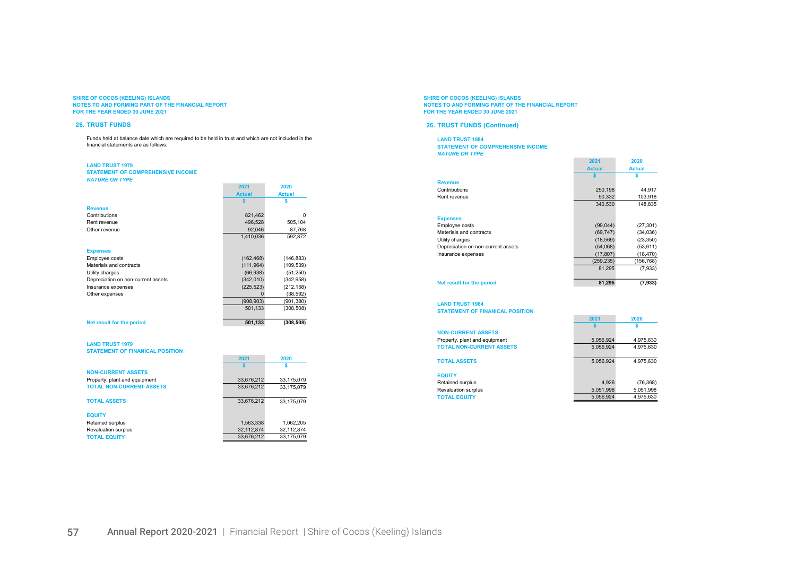#### 26. TRUST FUNDS

Funds held at balance date which are required to be held in trust and which are not included in the financial statements are as follows:

#### LAND TRUST 1979

TOTAL EQUITY

STATEMENT OF COMPREHENSIVE INCOME NATURE OR TY

| NAIURE UR IIFE                         |               |               |
|----------------------------------------|---------------|---------------|
|                                        | 2021          | 2020          |
|                                        | <b>Actual</b> | <b>Actual</b> |
|                                        | Ŝ             | Ś             |
| <b>Revenue</b>                         |               |               |
| Contributions                          | 821,462       | $\Omega$      |
| Rent revenue                           | 496,528       | 505,104       |
| Other revenue                          | 92,046        | 87,768        |
|                                        | 1,410,036     | 592,872       |
|                                        |               |               |
| <b>Expenses</b>                        |               |               |
| Employee costs                         | (162, 468)    | (146, 883)    |
| Materials and contracts                | (111, 964)    | (109, 539)    |
| Utility charges                        | (66, 938)     | (51,250)      |
| Depreciation on non-current assets     | (342,010)     | (342, 958)    |
| Insurance expenses                     | (225, 523)    | (212, 158)    |
| Other expenses                         | 0             | (38, 592)     |
|                                        | (908, 903)    | (901, 380)    |
|                                        | 501,133       | (308, 508)    |
|                                        |               |               |
| Net result for the period              | 501,133       | (308, 508)    |
|                                        |               |               |
|                                        |               |               |
| <b>LAND TRUST 1979</b>                 |               |               |
| <b>STATEMENT OF FINANICAL POSITION</b> |               |               |
|                                        | 2021          | 2020          |
|                                        |               | Ś             |
| <b>NON-CURRENT ASSETS</b>              |               |               |
| Property, plant and equipment          | 33,676,212    | 33,175,079    |
| <b>TOTAL NON-CURRENT ASSETS</b>        | 33,676,212    | 33,175,079    |
|                                        |               |               |
| <b>TOTAL ASSETS</b>                    | 33,676,212    | 33,175,079    |
|                                        |               |               |
| <b>EQUITY</b>                          |               |               |

Retained surplus 1,563,338 1,062,205<br>Revaluation surplus 1,563,338 1,062,205<br>32,112,874 32,112,874 Revaluation surplus  $\overline{32,112,874}$   $\overline{32,112,874}$   $\overline{33,676,212}$   $\overline{33,175,079}$ 

#### SHIRE OF COCOS (KEELING) ISLANDS NOTES TO AND FORMING PART OF THE FINANCIAL REPORT FOR THE YEAR ENDED 30 JUNE 2021

#### 26. TRUST FUNDS (Continued)

LAND TRUST 1984 STATEMENT OF COMPREHENSIVE INCOME NATURE OR TYPE

|                                    | 2021          | 2020          |
|------------------------------------|---------------|---------------|
|                                    | <b>Actual</b> | <b>Actual</b> |
|                                    |               |               |
| <b>Revenue</b>                     |               |               |
| Contributions                      | 250,198       | 44,917        |
| Rent revenue                       | 90.332        | 103,918       |
|                                    | 340.530       | 148.835       |
|                                    |               |               |
| <b>Expenses</b>                    |               |               |
| Employee costs                     | (99,044)      | (27, 301)     |
| Materials and contracts            | (69, 747)     | (34,036)      |
| Utility charges                    | (18, 569)     | (23, 350)     |
| Depreciation on non-current assets | (54,068)      | (53, 611)     |
| Insurance expenses                 | (17, 807)     | (18, 470)     |
|                                    | (259, 235)    | (156, 768)    |
|                                    | 81.295        | (7,933)       |
|                                    |               |               |
| <b>Net result for the period</b>   | 81,295        | (7, 933)      |

 $\frac{2021}{s}$  2020 \$ \$

8,056,924 4,975,630<br>5,056,924 4,975,630

LAND TRUST 1984 STATEMENT OF FINANICAL POSITION

| <b>NON-CURRENT ASSETS</b>       |
|---------------------------------|
| Property, plant and equipment   |
| <b>TOTAL NON-CURRENT ASSETS</b> |

TOTAL ASSETS 5,056,924 4,975,630

|  |  | _________ |  |  |
|--|--|-----------|--|--|
|  |  |           |  |  |
|  |  |           |  |  |
|  |  |           |  |  |
|  |  |           |  |  |

| <b>EQUITY</b>              |           |           |
|----------------------------|-----------|-----------|
| Retained surplus           | 4.926     | (76, 368) |
| <b>Revaluation surplus</b> | 5.051.998 | 5.051.998 |
| <b>TOTAL EQUITY</b>        | 5.056.924 | 4.975.630 |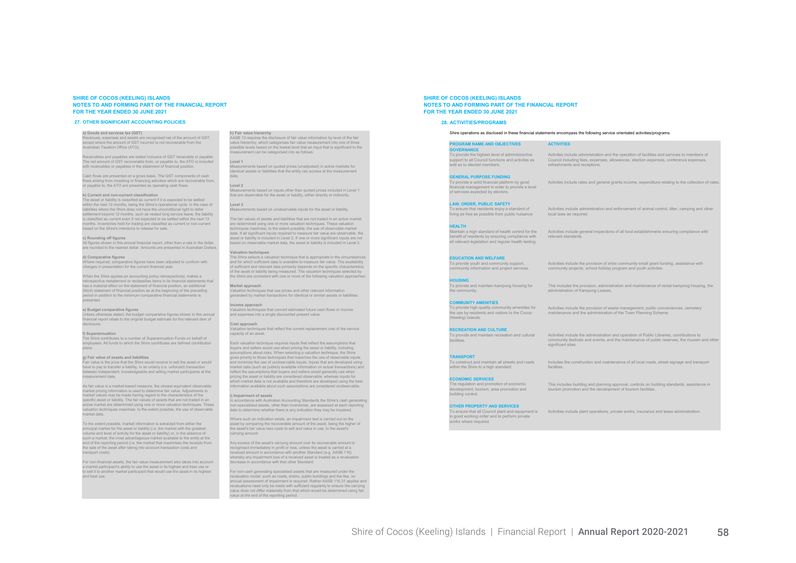#### 27. OTHER SIGNIFICANT ACCOUNTING POLICIES

#### a) Goods and services tax (GST)

Revenues, expenses and assets are recognised net of the amount of GST, except where the amount of GST incurred is not recoverable from the Australian Taxation Office (ATO).

Receivables and payables are stated inclusive of GST receivable or payable. The net amount of GST recoverable from, or payable to, the ATO is included with receivables or payables in the statement of financial position

Cash flows are presented on a gross basis. The GST components of cash flows arising from investing or financing activities which are recoverable from, or payable to, the ATO are presented as operating cash flows.

#### b) Current and non-current classification

The asset or liability is classified as current if it is expected to be settled within the next 12 months, being the Shire's operational cycle. In the case of liabilities where the Shire does not have the unconditional right to defer settlement beyond 12 months, such as vested long service leave, the liability is classified as current even if not expected to be settled within the next 12 months. Inventories held for trading are classified as current or non-current based on the Shire's intentions to release for sale.

#### c) Rounding off figures

All figures shown in this annual financial report, other than a rate in the dollar, are rounded to the nearest dollar. Amounts are presented in Australian Dollars.

#### d) Comparative figures

Where required, comparative figures have been adjusted to conform with changes in presentation for the current financial year.

When the Shire applies an accounting policy retrospectively, makes a retrospective restatement or reclassifies items in its financial statements that has a material effect on the statement of financial position, an additional (third) statement of financial position as at the beginning of the preceding period in addition to the minimum comparative financial statements is presented.

#### e) Budget comparative figures

Unless otherwise stated, the budget comparative figures shown in this annual financial report relate to the original budget estimate for the relevant item of disclosure.

f) Superannuation The Shire contributes to a number of Superannuation Funds on behalf of employees. All funds to which the Shire contributes are defined contribution plans.

#### g) Fair value of assets and liabilities

Fair value is the price that the Shire would receive to sell the asset or would have to pay to transfer a liability, in an orderly (i.e. unforced) transaction between independent, knowledgeable and willing market participants at the measurement date.

As fair value is a market-based measure, the closest equivalent observable market pricing information is used to determine fair value. Adjustments to market values may be made having regard to the characteristics of the specific asset or liability. The fair values of assets that are not traded in an active market are determined using one or more valuation techniques. These valuation techniques maximise, to the extent possible, the use of observable market data.

To the extent possible, market information is extracted from either the principal market for the asset or liability (i.e. the market with the greatest volume and level of activity for the asset or liability) or, in the absence of such a market, the most advantageous market available to the entity at the end of the reporting period (i.e. the market that maximises the receipts from the sale of the asset after taking into account transaction costs and transport costs)

For non-financial assets, the fair value measurement also takes into account a market participant's ability to use the asset in its highest and best use or to sell it to another market participant that would use the asset in its highest and best use.

#### h) Fair value hierarchy

AASB 13 requires the disclosure of fair value information by level of the fair value hierarchy, which categorises fair value measurement into one of three possible levels based on the lowest level that an input that is significant to the measurement can be categorised into as follows:

#### Level 1

ents based on quoted prices (unadjusted) in active markets for identical assets or liabilities that the entity can access at the measurement

#### date. Level 2

Measurements based on inputs other than quoted prices included in Level 1 that are observable for the asset or liability, either directly or indirectly.

#### Level 3

nts based on unobservable inputs for the asset or liability

The fair values of assets and liabilities that are not traded in an active market are determined using one or more valuation techniques. These valuation techniques maximise, to the extent possible, the use of observable market data. If all significant inputs required to measure fair value are observable, the add. If all eightheart inputs required to measure fail value are spoor rable, the<br>asset or liability is included in Level 2. If one or more significant inputs are not based on observable market data, the asset or liability is included in Level 3.

#### Valuation techniques

The Shire selects a valuation technique that is appropriate in the circumstances and for which sufficient data is available to measure fair value. The availability of sufficient and relevant data primarily depends on the specific characteristics of the asset or liability being measured. The valuation techniques selected by the Shire are consistent with one or more of the following valuation approaches:

#### Market approach

Valuation techniques that use prices and other relevant information generated by market transactions for identical or similar assets or liabilities.

#### Income approach Valuation techniques that convert estimated future cash flows or income

and expenses into a single discounted present value.

#### Cost approach

Valuation techniques that reflect the current replacement cost of the service capacity of an asset.

Each valuation technique requires inputs that reflect the assumptions that buyers and sellers would use when pricing the asset or liability, including assumptions about risks. When selecting a valuation technique, the Shire gives priority to those techniques that maximise the use of observable inputs and minimise the use of unobservable inputs. Inputs that are developed using market data (such as publicly available information on actual transactions) and reflect the assumptions that buyers and sellers would generally use when pricing the asset or liability are considered observable, whereas inputs for which market data is not available and therefore are developed using the best information available about such assumptions are considered unobservable.

#### i) Impairment of assets

In accordance with Australian Accounting Standards the Shire's cash generating non-specialised assets, other than inventories, are assessed at each reporting date to determine whether there is any indication they may be impaired.

Where such an indication exists, an impairment test is carried out on the asset by comparing the recoverable amount of the asset, being the higher of the asset's fair value less costs to sell and value in use, to the asset's carrying amount.

Any excess of the asset's carrying amount over its recoverable amount is recognised immediately in profit or loss, unless the asset is carried at a revalued amount in accordance with another Standard (e.g. AASB 116) whereby any impairment loss of a revalued asset is treated as a revaluation decrease in accordance with that other Standard.

For non-cash generating specialised assets that are measured under the revaluation model ,such as roads, drains, public buildings and the like, no annual assessment of impairment is required. Rather AASB 116.31 applies and revaluations need only be made with sufficient regularity to ensure the carrying value does not differ materially from that which would be determined using fair value at the end of the reporting period.

SHIRE OF COCOS (KEELING) ISLANDS NOTES TO AND FORMING PART OF THE FINANCIAL REPORT FOR THE YEAR ENDED 30 JUNE 2021

#### 28. ACTIVITIES/PROGRAMS

#### Shire operations as disclosed in these financial statements encompass the following service orientated activities/programs.

local laws as required.

relevant standards.

administration of Kampong Leases.

#### **ROGRAM NAME AND OBJECTIVES** ACTIVITIES **GOVERNANCE**

To provide the highest level of administravtive support to all Council functions and activites as well as to elected members.

Activites include administration and the operation of facilities and services to members of Council including fees, expenses, allowances, election expenses, conference expenses, refreshments and receptions.

Activites include rates and general grants income, expenditure relating to the collection of rates.

Activities include administration and enforcement of animal control, litter, camping and other

Activities include general inspections of all food establishments ensuring compliance with

#### **ENERAL PURPOSE FUNDIN**

To provide a solid financial platform by good financial management in order to provide a level of services expected by electors.

#### LAW, ORDER, PUBLIC SAFETY

EDUCATION AND WELFARE To provide youth and community support, community information and project services.

To ensure that residents enjoy a standard of living as free as possible from public nuisance.

#### HEALTH

Maintain a high standard of health control for the benefit of residents by ensuring compliance with all relevant legislation and regular health testing.

> Activities include the provision of shire community small grant funding, assistance with community projects, school holiday program and youth activites.

HOUSING To provide and maintain kampong housing for

the community.

#### **MUNITY AMENITIES**

To provide high quality community amenities for the use by residents and visitors to the Cocos (Keeling) Islands.

Activities include the provision of waste management, public conveniences, cemetery maintenance and the administration of the Town Planning Scheme.

This includes the provision, administration and maintenance of rental kampong housing, the

#### **ECREATION AND CULTURE**

To provide and maintain recreation and cultural facilities.

TRANSPORT To construct and maintain all streets and roads within the Shire to a high standard.

#### ECONOMIC SERVICES

The regulation and promotion of economic building control.<br>Duilding control

#### OTHER PROPERTY AND SERVICES

To ensure that all Council plant and equipment is in good working order and to perform private

Activities include the administration and operation of Public Libraries, contributions to community festivals and events, and the maintenance of public reserves, the musem and other significant sites.

Includes the construction and maintenance of all local roads, street signage and transport facilities.

development, tourism, area promotion and

works where required.

This includes building and planning approval, controls on building standards, assistance in

## Activities include plant operations, private works, insurance and lease administration.

tourism promotion and the development of tourism facilities.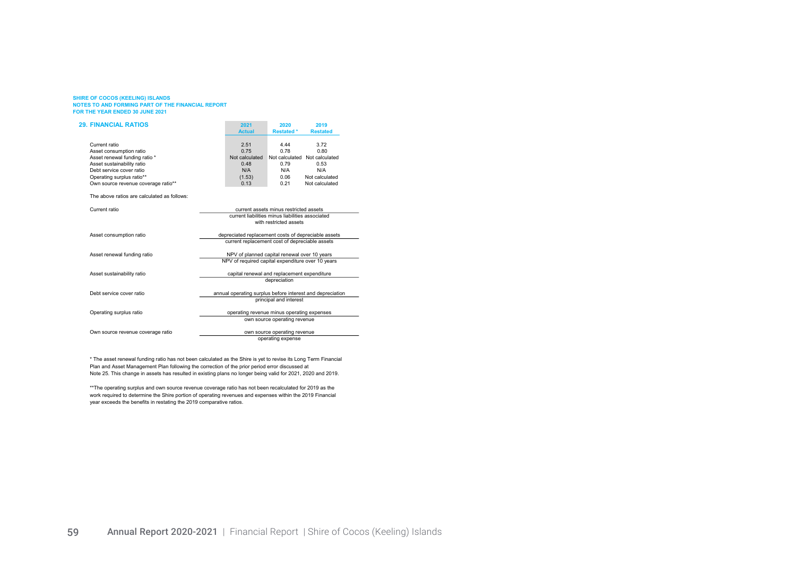| <b>29. FINANCIAL RATIOS</b>                 |                                                     | 2021                                              | 2020                                   | 2019                                                      |
|---------------------------------------------|-----------------------------------------------------|---------------------------------------------------|----------------------------------------|-----------------------------------------------------------|
|                                             |                                                     | <b>Actual</b>                                     | <b>Restated *</b>                      | <b>Restated</b>                                           |
| Current ratio                               |                                                     | 2.51                                              | 4.44                                   | 3.72                                                      |
| Asset consumption ratio                     |                                                     | 0.75                                              | 0.78                                   | 0.80                                                      |
| Asset renewal funding ratio *               |                                                     | Not calculated                                    |                                        | Not calculated Not calculated                             |
| Asset sustainability ratio                  |                                                     | 0.48                                              | 0.79                                   | 0.53                                                      |
| Debt service cover ratio                    |                                                     | N/A                                               | N/A                                    | N/A                                                       |
| Operating surplus ratio**                   |                                                     | (1.53)                                            | 0.06                                   | Not calculated                                            |
| Own source revenue coverage ratio**         |                                                     | 0.13                                              | 0.21                                   | Not calculated                                            |
|                                             |                                                     |                                                   |                                        |                                                           |
| The above ratios are calculated as follows: |                                                     |                                                   |                                        |                                                           |
| Current ratio                               |                                                     |                                                   | current assets minus restricted assets |                                                           |
|                                             |                                                     | current liabilities minus liabilities associated  |                                        |                                                           |
|                                             |                                                     |                                                   | with restricted assets                 |                                                           |
| Asset consumption ratio                     | depreciated replacement costs of depreciable assets |                                                   |                                        |                                                           |
|                                             |                                                     | current replacement cost of depreciable assets    |                                        |                                                           |
| Asset renewal funding ratio                 | NPV of planned capital renewal over 10 years        |                                                   |                                        |                                                           |
|                                             |                                                     | NPV of required capital expenditure over 10 years |                                        |                                                           |
| Asset sustainability ratio                  |                                                     | capital renewal and replacement expenditure       |                                        |                                                           |
|                                             |                                                     |                                                   | depreciation                           |                                                           |
| Debt service cover ratio                    |                                                     |                                                   |                                        | annual operating surplus before interest and depreciation |
|                                             |                                                     |                                                   | principal and interest                 |                                                           |
| Operating surplus ratio                     | operating revenue minus operating expenses          |                                                   |                                        |                                                           |
|                                             |                                                     |                                                   | own source operating revenue           |                                                           |
| Own source revenue coverage ratio           |                                                     |                                                   | own source operating revenue           |                                                           |
|                                             |                                                     |                                                   | operating expense                      |                                                           |

\* The asset renewal funding ratio has not been calculated as the Shire is yet to revise its Long Term Financial Plan and Asset Management Plan following the correction of the prior period error discussed at Note 25. This change in assets has resulted in existing plans no longer being valid for 2021, 2020 and 2019.

\*\*The operating surplus and own source revenue coverage ratio has not been recalculated for 2019 as the work required to determine the Shire portion of operating revenues and expenses within the 2019 Financial year exceeds the benefits in restating the 2019 comparative ratios.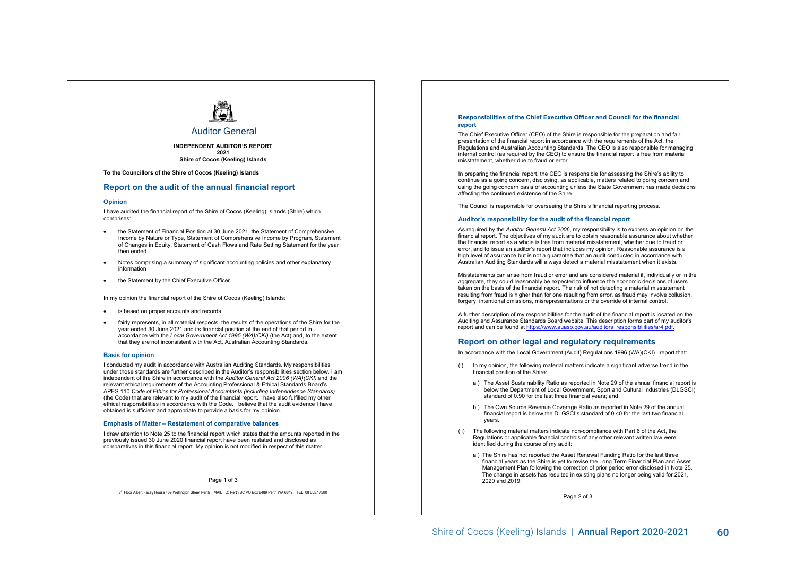

### Auditor General

**INDEPENDENT AUDITOR'S REPORT 2021 Shire of Cocos (Keeling) Islands**

Independent Auditor's **To the Councillors of the Shire of Cocos (Keeling) Islands**

# Report **Report on the audit of the annual financial report**

#### **Opinion**

I have audited the financial report of the Shire of Cocos (Keeling) Islands (Shire) which comprises:

- the Statement of Financial Position at 30 June 2021, the Statement of Comprehensive Income by Nature or Type, Statement of Comprehensive Income by Program, Statement of Changes in Equity, Statement of Cash Flows and Rate Setting Statement for the year then ended
- Notes comprising a summary of significant accounting policies and other explanatory information
- the Statement by the Chief Executive Officer.

In my opinion the financial report of the Shire of Cocos (Keeling) Islands:

- is based on proper accounts and records
- fairly represents, in all material respects, the results of the operations of the Shire for the year ended 30 June 2021 and its financial position at the end of that period in accordance with the *Local Government Act 1995 (WA)(CKI)* (the Act) and, to the extent that they are not inconsistent with the Act, Australian Accounting Standards.

#### **Basis for opinion**

I conducted my audit in accordance with Australian Auditing Standards. My responsibilities under those standards are further described in the Auditor's responsibilities section below. I am independent of the Shire in accordance with the *Auditor General Act 2006 (WA)(CKI)* and the relevant ethical requirements of the Accounting Professional & Ethical Standards Board's APES 110 *Code of Ethics for Professional Accountants (including Independence Standards)* (the Code) that are relevant to my audit of the financial report. I have also fulfilled my other ethical responsibilities in accordance with the Code. I believe that the audit evidence I have obtained is sufficient and appropriate to provide a basis for my opinion.

#### **Emphasis of Matter – Restatement of comparative balances**

I draw attention to Note 25 to the financial report which states that the amounts reported in the previously issued 30 June 2020 financial report have been restated and disclosed as comparatives in this financial report. My opinion is not modified in respect of this matter.

#### Page 1 of 3

7th Floor Albert Facey House 469 Wellington Street Perth MAIL TO: Perth BC PO Box 8489 Perth WA 6849 TEL: 08 6557 7500

#### **Responsibilities of the Chief Executive Officer and Council for the financial report**

The Chief Executive Officer (CEO) of the Shire is responsible for the preparation and fair presentation of the financial report in accordance with the requirements of the Act, the Regulations and Australian Accounting Standards. The CEO is also responsible for managing internal control (as required by the CEO) to ensure the financial report is free from material misstatement, whether due to fraud or error.

In preparing the financial report, the CEO is responsible for assessing the Shire's ability to continue as a going concern, disclosing, as applicable, matters related to going concern and using the going concern basis of accounting unless the State Government has made decisions affecting the continued existence of the Shire.

The Council is responsible for overseeing the Shire's financial reporting process.

#### **Auditor's responsibility for the audit of the financial report**

As required by the *Auditor General Act 2006*, my responsibility is to express an opinion on the financial report. The objectives of my audit are to obtain reasonable assurance about whether the financial report as a whole is free from material misstatement, whether due to fraud or error, and to issue an auditor's report that includes my opinion. Reasonable assurance is a high level of assurance but is not a guarantee that an audit conducted in accordance with Australian Auditing Standards will always detect a material misstatement when it exists.

Misstatements can arise from fraud or error and are considered material if, individually or in the aggregate, they could reasonably be expected to influence the economic decisions of users taken on the basis of the financial report. The risk of not detecting a material misstatement resulting from fraud is higher than for one resulting from error, as fraud may involve collusion, forgery, intentional omissions, misrepresentations or the override of internal control.

A further description of my responsibilities for the audit of the financial report is located on the Auditing and Assurance Standards Board website. This description forms part of my auditor's report and can be found at https://www.auasb.gov.au/auditors\_responsibilities/ar4.pdf.

#### **Report on other legal and regulatory requirements**

In accordance with the Local Government (Audit) Regulations 1996 (WA)(CKI) I report that:

- (i) In my opinion, the following material matters indicate a significant adverse trend in the financial position of the Shire:
	- a.) The Asset Sustainability Ratio as reported in Note 29 of the annual financial report is below the Department of Local Government, Sport and Cultural Industries (DLGSCI) standard of 0.90 for the last three financial years; and
	- b.) The Own Source Revenue Coverage Ratio as reported in Note 29 of the annual financial report is below the DLGSCI's standard of 0.40 for the last two financial years.
- (ii) The following material matters indicate non-compliance with Part 6 of the Act, the Regulations or applicable financial controls of any other relevant written law were identified during the course of my audit:
	- a.) The Shire has not reported the Asset Renewal Funding Ratio for the last three financial years as the Shire is yet to revise the Long Term Financial Plan and Asset Management Plan following the correction of prior period error disclosed in Note 25. The change in assets has resulted in existing plans no longer being valid for 2021. 2020 and 2019;

Page 2 of 3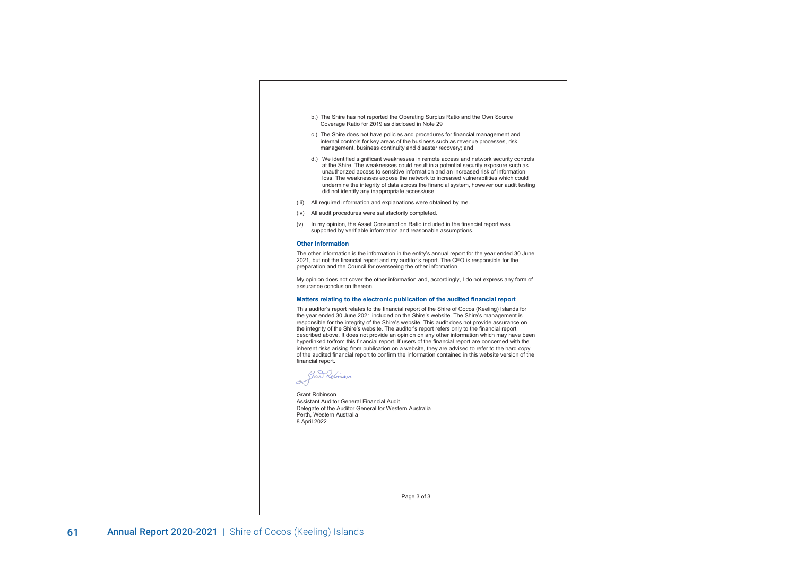- b.) The Shire has not reported the Operating Surplus Ratio and the Own Source Coverage Ratio for 2019 as disclosed in Note 29
- c.) The Shire does not have policies and procedures for financial management and internal controls for key areas of the business such as revenue processes, risk management, business continuity and disaster recovery; and
- d.) We identified significant weaknesses in remote access and network security controls at the Shire. The weaknesses could result in a potential security exposure such as unauthorized access to sensitive information and an increased risk of information loss. The weaknesses expose the network to increased vulnerabilities which could undermine the integrity of data across the financial system, however our audit testing did not identify any inappropriate access/use.
- (iii) All required information and explanations were obtained by me.
- (iv) All audit procedures were satisfactorily completed.
- (v) In my opinion, the Asset Consumption Ratio included in the financial report was supported by verifiable information and reasonable assumptions.

#### **Other information**

The other information is the information in the entity's annual report for the year ended 30 June 2021, but not the financial report and my auditor's report. The CEO is responsible for the preparation and the Council for overseeing the other information.

My opinion does not cover the other information and, accordingly, I do not express any form of assurance conclusion thereon.

#### **Matters relating to the electronic publication of the audited financial report**

This auditor's report relates to the financial report of the Shire of Cocos (Keeling) Islands for the year ended 30 June 2021 included on the Shire's website. The Shire's management is responsible for the integrity of the Shire's website. This audit does not provide assurance on the integrity of the Shire's website. The auditor's report refers only to the financial report described above. It does not provide an opinion on any other information which may have been hyperlinked to/from this financial report. If users of the financial report are concerned with the inherent risks arising from publication on a website, they are advised to refer to the hard copy of the audited financial report to confirm the information contained in this website version of the financial report.

Gar Robinson

Grant Robinson Assistant Auditor General Financial Audit Delegate of the Auditor General for Western Australia Perth, Western Australia 8 April 2022

Page 3 of 3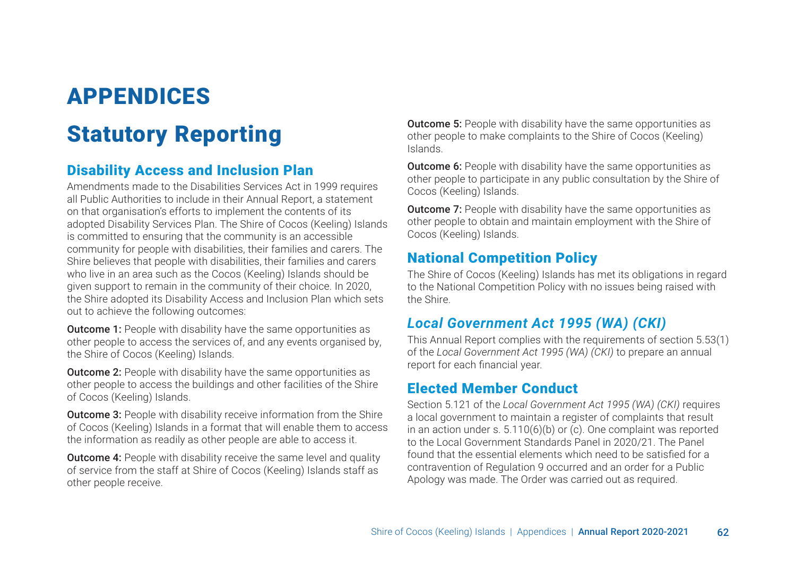# APPENDICES

# Statutory Reporting

## Disability Access and Inclusion Plan

Amendments made to the Disabilities Services Act in 1999 requires all Public Authorities to include in their Annual Report, a statement on that organisation's efforts to implement the contents of its adopted Disability Services Plan. The Shire of Cocos (Keeling) Islands is committed to ensuring that the community is an accessible community for people with disabilities, their families and carers. The Shire believes that people with disabilities, their families and carers who live in an area such as the Cocos (Keeling) Islands should be given support to remain in the community of their choice. In 2020, the Shire adopted its Disability Access and Inclusion Plan which sets out to achieve the following outcomes:

**Outcome 1:** People with disability have the same opportunities as other people to access the services of, and any events organised by, the Shire of Cocos (Keeling) Islands.

**Outcome 2:** People with disability have the same opportunities as other people to access the buildings and other facilities of the Shire of Cocos (Keeling) Islands.

**Outcome 3:** People with disability receive information from the Shire of Cocos (Keeling) Islands in a format that will enable them to access the information as readily as other people are able to access it.

**Outcome 4:** People with disability receive the same level and quality of service from the staff at Shire of Cocos (Keeling) Islands staff as other people receive.

**Outcome 5:** People with disability have the same opportunities as other people to make complaints to the Shire of Cocos (Keeling) Islands.

**Outcome 6:** People with disability have the same opportunities as other people to participate in any public consultation by the Shire of Cocos (Keeling) Islands.

**Outcome 7:** People with disability have the same opportunities as other people to obtain and maintain employment with the Shire of Cocos (Keeling) Islands.

## National Competition Policy

The Shire of Cocos (Keeling) Islands has met its obligations in regard to the National Competition Policy with no issues being raised with the Shire.

# *Local Government Act 1995 (WA) (CKI)*

This Annual Report complies with the requirements of section 5.53(1) of the *Local Government Act 1995 (WA) (CKI)* to prepare an annual report for each financial year.

## Elected Member Conduct

Section 5.121 of the *Local Government Act 1995 (WA) (CKI)* requires a local government to maintain a register of complaints that result in an action under s. 5.110(6)(b) or (c). One complaint was reported to the Local Government Standards Panel in 2020/21. The Panel found that the essential elements which need to be satisfied for a contravention of Regulation 9 occurred and an order for a Public Apology was made. The Order was carried out as required.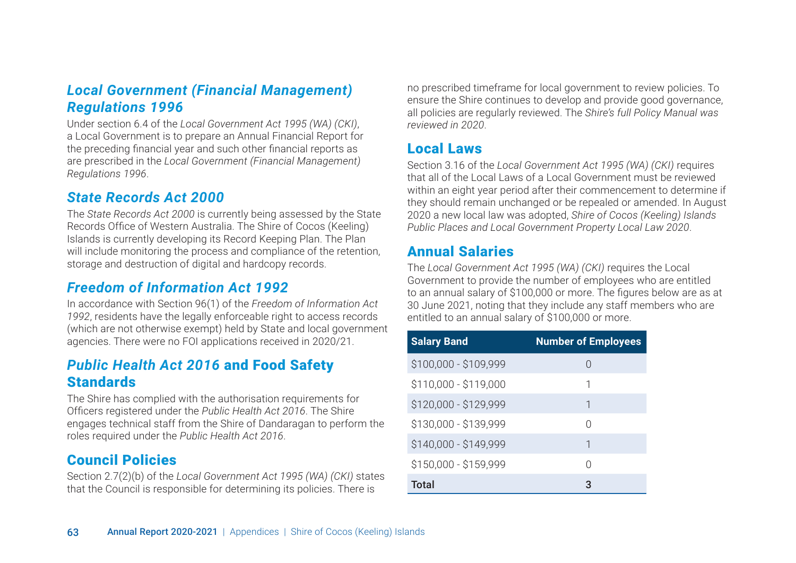# *Local Government (Financial Management) Regulations 1996*

Under section 6.4 of the *Local Government Act 1995 (WA) (CKI)*, a Local Government is to prepare an Annual Financial Report for the preceding financial year and such other financial reports as are prescribed in the *Local Government (Financial Management) Regulations 1996*.

## *State Records Act 2000*

The *State Records Act 2000* is currently being assessed by the State Records Office of Western Australia. The Shire of Cocos (Keeling) Islands is currently developing its Record Keeping Plan. The Plan will include monitoring the process and compliance of the retention, storage and destruction of digital and hardcopy records.

## *Freedom of Information Act 1992*

In accordance with Section 96(1) of the *Freedom of Information Act 1992*, residents have the legally enforceable right to access records (which are not otherwise exempt) held by State and local government agencies. There were no FOI applications received in 2020/21.

## *Public Health Act 2016* and Food Safety **Standards**

The Shire has complied with the authorisation requirements for Officers registered under the *Public Health Act 2016*. The Shire engages technical staff from the Shire of Dandaragan to perform the roles required under the *Public Health Act 2016*.

## Council Policies

Section 2.7(2)(b) of the *Local Government Act 1995 (WA) (CKI)* states that the Council is responsible for determining its policies. There is

no prescribed timeframe for local government to review policies. To ensure the Shire continues to develop and provide good governance, all policies are regularly reviewed. The *Shire's full Policy Manual was reviewed in 2020*.

## Local Laws

Section 3.16 of the *Local Government Act 1995 (WA) (CKI)* requires that all of the Local Laws of a Local Government must be reviewed within an eight year period after their commencement to determine if they should remain unchanged or be repealed or amended. In August 2020 a new local law was adopted, *Shire of Cocos (Keeling) Islands Public Places and Local Government Property Local Law 2020*.

## Annual Salaries

The *Local Government Act 1995 (WA) (CKI)* requires the Local Government to provide the number of employees who are entitled to an annual salary of \$100,000 or more. The figures below are as at 30 June 2021, noting that they include any staff members who are entitled to an annual salary of \$100,000 or more.

| <b>Salary Band</b>    | <b>Number of Employees</b> |
|-----------------------|----------------------------|
| \$100,000 - \$109,999 | $\left( \right)$           |
| \$110,000 - \$119,000 | 1                          |
| \$120,000 - \$129,999 | 1                          |
| \$130,000 - \$139,999 | Ω                          |
| \$140,000 - \$149,999 | 1                          |
| \$150,000 - \$159,999 | Λ                          |
| <b>Total</b>          | 3                          |